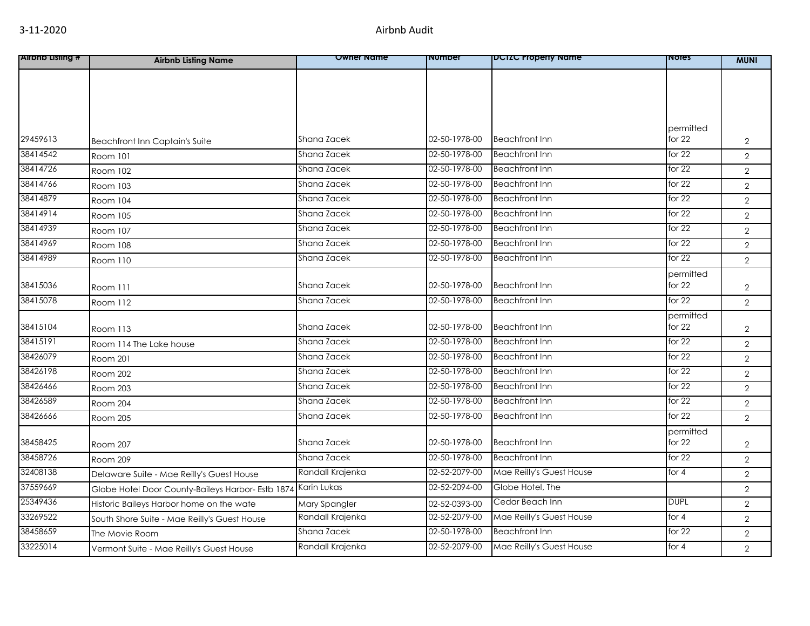| <b>Alrono Listing #</b> | <b>Airbnb Listing Name</b>                        | <b>Owner Name</b> | <b>Number</b> | DCTZC Property Name      | <b>NOTES</b>        | <b>MUNI</b>    |
|-------------------------|---------------------------------------------------|-------------------|---------------|--------------------------|---------------------|----------------|
|                         |                                                   |                   |               |                          |                     |                |
|                         |                                                   |                   |               |                          |                     |                |
|                         |                                                   |                   |               |                          |                     |                |
|                         |                                                   |                   |               |                          |                     |                |
| 29459613                |                                                   | Shana Zacek       | 02-50-1978-00 | <b>Beachfront Inn</b>    | permitted<br>for 22 |                |
| 38414542                | Beachfront Inn Captain's Suite                    | Shana Zacek       | 02-50-1978-00 | <b>Beachfront Inn</b>    | for $22$            | $\overline{2}$ |
| 38414726                | <b>Room 101</b>                                   |                   | 02-50-1978-00 |                          |                     | $\overline{2}$ |
|                         | Room 102                                          | Shana Zacek       |               | <b>Beachfront Inn</b>    | for $22$            | $\overline{2}$ |
| 38414766                | Room 103                                          | Shana Zacek       | 02-50-1978-00 | <b>Beachfront Inn</b>    | for $22$            | $\overline{2}$ |
| 38414879                | Room 104                                          | Shana Zacek       | 02-50-1978-00 | <b>Beachfront Inn</b>    | for 22              | $\overline{2}$ |
| 38414914                | Room 105                                          | Shana Zacek       | 02-50-1978-00 | <b>Beachfront Inn</b>    | for 22              | $\overline{2}$ |
| 38414939                | Room 107                                          | Shana Zacek       | 02-50-1978-00 | <b>Beachfront Inn</b>    | for $22$            | $\overline{2}$ |
| 38414969                | Room 108                                          | Shana Zacek       | 02-50-1978-00 | <b>Beachfront Inn</b>    | for $22$            | $\overline{2}$ |
| 38414989                | Room 110                                          | Shana Zacek       | 02-50-1978-00 | <b>Beachfront Inn</b>    | for 22              | $\overline{2}$ |
|                         |                                                   |                   |               |                          | permitted           |                |
| 38415036                | Room 111                                          | Shana Zacek       | 02-50-1978-00 | <b>Beachfront Inn</b>    | for $22$            | $\overline{2}$ |
| 38415078                | Room 112                                          | Shana Zacek       | 02-50-1978-00 | <b>Beachfront Inn</b>    | for 22              | $\overline{2}$ |
|                         |                                                   |                   |               |                          | permitted           |                |
| 38415104                | <b>Room 113</b>                                   | Shana Zacek       | 02-50-1978-00 | <b>Beachfront Inn</b>    | for $22$            | $\overline{2}$ |
| 38415191                | Room 114 The Lake house                           | Shana Zacek       | 02-50-1978-00 | <b>Beachfront Inn</b>    | for $22$            | $\overline{2}$ |
| 38426079                | Room 201                                          | Shana Zacek       | 02-50-1978-00 | <b>Beachfront Inn</b>    | for $22$            | $\overline{2}$ |
| 38426198                | Room 202                                          | Shana Zacek       | 02-50-1978-00 | <b>Beachfront Inn</b>    | for $22$            | $\overline{2}$ |
| 38426466                | Room 203                                          | Shana Zacek       | 02-50-1978-00 | <b>Beachfront Inn</b>    | for $22$            | $\overline{2}$ |
| 38426589                | Room 204                                          | Shana Zacek       | 02-50-1978-00 | <b>Beachfront Inn</b>    | for $22$            | $\overline{2}$ |
| 38426666                | Room 205                                          | Shana Zacek       | 02-50-1978-00 | <b>Beachfront Inn</b>    | for 22              | $\overline{2}$ |
|                         |                                                   |                   |               |                          | permitted           |                |
| 38458425                | Room 207                                          | Shana Zacek       | 02-50-1978-00 | <b>Beachfront Inn</b>    | for 22              | $\overline{2}$ |
| 38458726                | Room 209                                          | Shana Zacek       | 02-50-1978-00 | <b>Beachfront Inn</b>    | for $22$            | $\overline{2}$ |
| 32408138                | Delaware Suite - Mae Reilly's Guest House         | Randall Krajenka  | 02-52-2079-00 | Mae Reilly's Guest House | for 4               | $\overline{2}$ |
| 37559669                | Globe Hotel Door County-Baileys Harbor- Estb 1874 | Karin Lukas       | 02-52-2094-00 | Globe Hotel, The         |                     | $\overline{2}$ |
| 25349436                | Historic Baileys Harbor home on the wate          | Mary Spangler     | 02-52-0393-00 | Cedar Beach Inn          | <b>DUPL</b>         | $\overline{2}$ |
| 33269522                | South Shore Suite - Mae Reilly's Guest House      | Randall Krajenka  | 02-52-2079-00 | Mae Reilly's Guest House | for 4               | $\overline{2}$ |
| 38458659                | The Movie Room                                    | Shana Zacek       | 02-50-1978-00 | <b>Beachfront Inn</b>    | for $22$            | $\overline{2}$ |
| 33225014                | Vermont Suite - Mae Reilly's Guest House          | Randall Krajenka  | 02-52-2079-00 | Mae Reilly's Guest House | for 4               | $\overline{2}$ |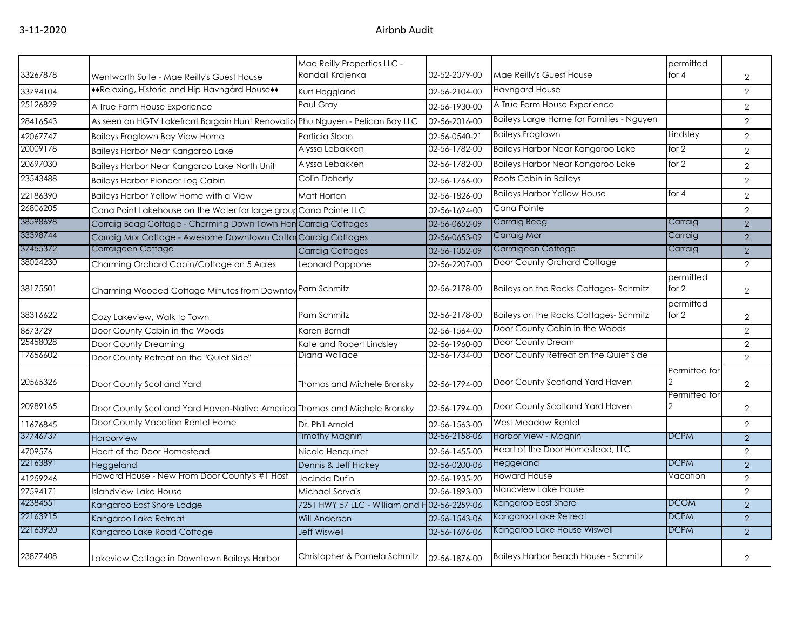|          |                                                                               | Mae Reilly Properties LLC -                  |               |                                          | permitted          |                |
|----------|-------------------------------------------------------------------------------|----------------------------------------------|---------------|------------------------------------------|--------------------|----------------|
| 33267878 | Wentworth Suite - Mae Reilly's Guest House                                    | Randall Krajenka                             | 02-52-2079-00 | Mae Reilly's Guest House                 | for $4$            | $\overline{2}$ |
| 33794104 | ◆◆Relaxing, Historic and Hip Havngård House◆◆                                 | Kurt Heggland                                | 02-56-2104-00 | <b>Havngard House</b>                    |                    | 2              |
| 25126829 | A True Farm House Experience                                                  | Paul Grav                                    | 02-56-1930-00 | A True Farm House Experience             |                    | $\overline{2}$ |
| 28416543 | As seen on HGTV Lakefront Bargain Hunt Renovatio Phu Nguyen - Pelican Bay LLC |                                              | 02-56-2016-00 | Baileys Large Home for Families - Nguyen |                    | 2              |
| 42067747 | <b>Baileys Frogtown Bay View Home</b>                                         | Particia Sloan                               | 02-56-0540-21 | <b>Baileys Frogtown</b>                  | Lindsley           | 2              |
| 20009178 | Baileys Harbor Near Kangaroo Lake                                             | Alvssa Lebakken                              | 02-56-1782-00 | Baileys Harbor Near Kangaroo Lake        | for $2$            | 2              |
| 20697030 | Baileys Harbor Near Kangaroo Lake North Unit                                  | Alyssa Lebakken                              | 02-56-1782-00 | Baileys Harbor Near Kangaroo Lake        | for 2              | 2              |
| 23543488 | <b>Baileys Harbor Pioneer Log Cabin</b>                                       | Colin Doherty                                | 02-56-1766-00 | Roots Cabin in Baileys                   |                    | 2              |
| 22186390 | Baileys Harbor Yellow Home with a View                                        | Matt Horton                                  | 02-56-1826-00 | <b>Baileys Harbor Yellow House</b>       | for $4$            | 2              |
| 26806205 | Cana Point Lakehouse on the Water for large group Cana Pointe LLC             |                                              | 02-56-1694-00 | Cana Pointe                              |                    | $\overline{2}$ |
| 38598698 | Carraig Beag Cottage - Charming Down Town Hon Carraig Cottages                |                                              | 02-56-0652-09 | Carraig Beag                             | Carraig            | $\overline{2}$ |
| 33398744 | Carraig Mor Cottage - Awesome Downtown Cottag                                 | <b>Carraig Cottages</b>                      | 02-56-0653-09 | Carraig Mor                              | Carraig            | 2              |
| 37455372 | Carraigeen Cottage                                                            | <b>Carraig Cottages</b>                      | 02-56-1052-09 | Carraigeen Cottage                       | Carraig            | $\overline{2}$ |
| 38024230 | Charming Orchard Cabin/Cottage on 5 Acres                                     | Leonard Pappone                              | 02-56-2207-00 | Door County Orchard Cottage              |                    | $\overline{2}$ |
| 38175501 | Charming Wooded Cottage Minutes from Downtov Pam Schmitz                      |                                              | 02-56-2178-00 | Baileys on the Rocks Cottages-Schmitz    | permitted<br>for 2 | $\overline{2}$ |
| 38316622 | Cozy Lakeview, Walk to Town                                                   | Pam Schmitz                                  | 02-56-2178-00 | Baileys on the Rocks Cottages-Schmitz    | permitted<br>for 2 | $\mathbf{2}$   |
| 8673729  | Door County Cabin in the Woods                                                | Karen Berndt                                 | 02-56-1564-00 | Door County Cabin in the Woods           |                    | 2              |
| 25458028 | Door County Dreaming                                                          | Kate and Robert Lindsley                     | 02-56-1960-00 | Door County Dream                        |                    | $\overline{2}$ |
| 17656602 | Door County Retreat on the "Quiet Side"                                       | Diana Wallace                                | 02-56-1734-00 | Door County Retreat on the Quiet Side    |                    | 2              |
| 20565326 | Door County Scotland Yard                                                     | Thomas and Michele Bronsky                   | 02-56-1794-00 | Door County Scotland Yard Haven          | Permitted for      | 2              |
| 20989165 | Door County Scotland Yard Haven-Native America Thomas and Michele Bronsky     |                                              | 02-56-1794-00 | Door County Scotland Yard Haven          | Permitted for      | $\overline{2}$ |
| 11676845 | Door County Vacation Rental Home                                              | Dr. Phil Arnold                              | 02-56-1563-00 | West Meadow Rental                       |                    | $\overline{2}$ |
| 37746737 | <b>Harborview</b>                                                             | Timothy Magnin                               | 02-56-2158-06 | Harbor View - Magnin                     | <b>DCPM</b>        | 2              |
| 4709576  | Heart of the Door Homestead                                                   | Nicole Henquinet                             | 02-56-1455-00 | Heart of the Door Homestead, LLC         |                    | $\overline{2}$ |
| 22163891 | Heggeland                                                                     | Dennis & Jeff Hickey                         | 02-56-0200-06 | Heggeland                                | <b>DCPM</b>        | $\overline{2}$ |
| 41259246 | Howard House - New From Door County's #1 Host                                 | Jacinda Dufin                                | 02-56-1935-20 | Howard House                             | Vacation           | $\overline{2}$ |
| 27594171 | <b>Islandview Lake House</b>                                                  | Michael Servais                              | 02-56-1893-00 | Islandview Lake House                    |                    | 2              |
| 42384551 | Kangaroo East Shore Lodge                                                     | 7251 HWY 57 LLC - William and H02-56-2259-06 |               | Kangaroo East Shore                      | <b>DCOM</b>        | $\overline{2}$ |
| 22163915 | Kangaroo Lake Retreat                                                         | Will Anderson                                | 02-56-1543-06 | Kangaroo Lake Retreat                    | <b>DCPM</b>        | 2              |
| 22163920 | Kangaroo Lake Road Cottage                                                    | <b>Jeff Wiswell</b>                          | 02-56-1696-06 | Kangaroo Lake House Wiswell              | <b>DCPM</b>        | 2              |
| 23877408 | Lakeview Cottage in Downtown Baileys Harbor                                   | Christopher & Pamela Schmitz                 | 02-56-1876-00 | Baileys Harbor Beach House - Schmitz     |                    | $\overline{2}$ |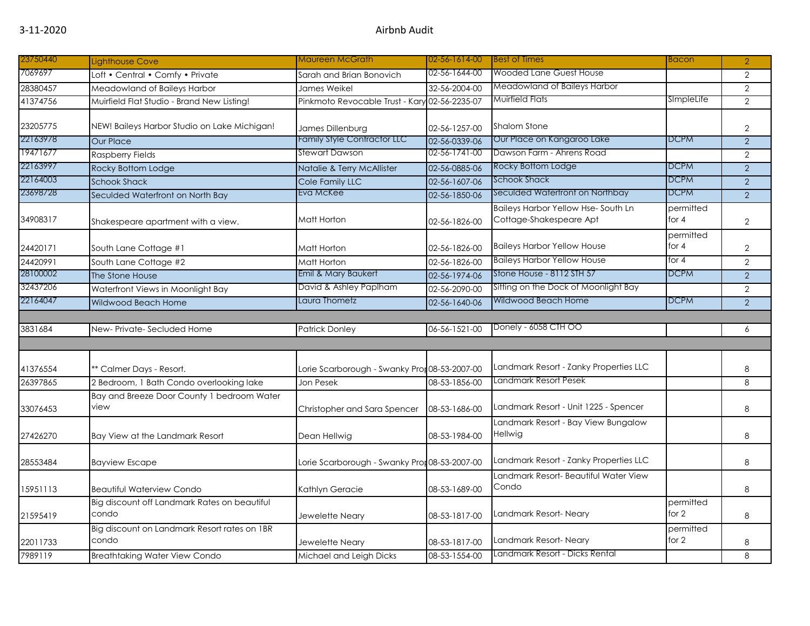| 23750440 | <b>Lighthouse Cove</b>                                | Maureen McGrath                               | 02-56-1614-00 | <b>Best of Times</b>                                                 | Bacon                | $\overline{2}$ |
|----------|-------------------------------------------------------|-----------------------------------------------|---------------|----------------------------------------------------------------------|----------------------|----------------|
| 7069697  | Loft • Central • Comfy • Private                      | Sarah and Brian Bonovich                      | 02-56-1644-00 | <b>Wooded Lane Guest House</b>                                       |                      | $\overline{2}$ |
| 28380457 | Meadowland of Baileys Harbor                          | James Weikel                                  | 32-56-2004-00 | Meadowland of Baileys Harbor                                         |                      | $\overline{2}$ |
| 41374756 | Muirfield Flat Studio - Brand New Listing!            | Pinkmoto Revocable Trust - Kary 02-56-2235-07 |               | Muirfield Flats                                                      | SImpleLife           | $\overline{2}$ |
| 23205775 | NEW! Baileys Harbor Studio on Lake Michigan!          | James Dillenburg                              | 02-56-1257-00 | <b>Shalom Stone</b>                                                  |                      | $\overline{2}$ |
| 22163978 | <b>Our Place</b>                                      | <b>Family Style Contractor LLC</b>            | 02-56-0339-06 | Our Place on Kangaroo Lake                                           | <b>DCPM</b>          | $\overline{2}$ |
| 19471677 | <b>Raspberry Fields</b>                               | Stewart Dawson                                | 02-56-1741-00 | Dawson Farm - Ahrens Road                                            |                      | $\overline{2}$ |
| 22163997 | Rocky Bottom Lodge                                    | Natalie & Terry McAllister                    | 02-56-0885-06 | Rocky Bottom Lodge                                                   | <b>DCPM</b>          | $\overline{2}$ |
| 22164003 | <b>Schook Shack</b>                                   | Cole Family LLC                               | 02-56-1607-06 | <b>Schook Shack</b>                                                  | <b>DCPM</b>          | $\overline{2}$ |
| 23698728 | Seculded Waterfront on North Bay                      | Eva McKee                                     | 02-56-1850-06 | Seculded Waterfront on Northbay                                      | <b>DCPM</b>          | $\overline{2}$ |
| 34908317 | Shakespeare apartment with a view.                    | Matt Horton                                   | 02-56-1826-00 | <b>Baileys Harbor Yellow Hse-South Ln</b><br>Cottage-Shakespeare Apt | permitted<br>for $4$ | $\overline{2}$ |
| 24420171 | South Lane Cottage #1                                 | Matt Horton                                   | 02-56-1826-00 | <b>Baileys Harbor Yellow House</b>                                   | permitted<br>for $4$ | $\overline{2}$ |
| 24420991 | South Lane Cottage #2                                 | Matt Horton                                   | 02-56-1826-00 | <b>Baileys Harbor Yellow House</b>                                   | for $4$              | $\overline{2}$ |
| 28100002 | The Stone House                                       | Emil & Mary Baukert                           | 02-56-1974-06 | Stone House - 8112 STH 57                                            | <b>DCPM</b>          | $\overline{2}$ |
| 32437206 | Waterfront Views in Moonlight Bay                     | David & Ashley Paplham                        | 02-56-2090-00 | Sitting on the Dock of Moonlight Bay                                 |                      | $\overline{2}$ |
| 22164047 | Wildwood Beach Home                                   | Laura Thometz                                 | 02-56-1640-06 | Wildwood Beach Home                                                  | <b>DCPM</b>          | $\overline{2}$ |
|          |                                                       |                                               |               |                                                                      |                      |                |
| 3831684  | New-Private-Secluded Home                             | <b>Patrick Donley</b>                         | 06-56-1521-00 | Donely - 6058 CTH OO                                                 |                      | 6              |
|          |                                                       |                                               |               |                                                                      |                      |                |
| 41376554 | ** Calmer Days - Resort.                              | Lorie Scarborough - Swanky Pror 08-53-2007-00 |               | Landmark Resort - Zanky Properties LLC                               |                      | 8              |
| 26397865 | 2 Bedroom, 1 Bath Condo overlooking lake              | Jon Pesek                                     | 08-53-1856-00 | Landmark Resort Pesek                                                |                      | 8              |
| 33076453 | Bay and Breeze Door County 1 bedroom Water<br>view    | Christopher and Sara Spencer                  | 08-53-1686-00 | Landmark Resort - Unit 1225 - Spencer                                |                      | 8              |
| 27426270 | Bay View at the Landmark Resort                       | Dean Hellwig                                  | 08-53-1984-00 | Landmark Resort - Bay View Bungalow<br>Hellwig                       |                      | 8              |
| 28553484 | <b>Bayview Escape</b>                                 | Lorie Scarborough - Swanky Pror 08-53-2007-00 |               | Landmark Resort - Zanky Properties LLC                               |                      | 8              |
| 15951113 | <b>Beautiful Waterview Condo</b>                      | Kathlyn Geracie                               | 08-53-1689-00 | Landmark Resort- Beautiful Water View<br>Condo                       |                      | 8              |
| 21595419 | Big discount off Landmark Rates on beautiful<br>condo | Jewelette Neary                               | 08-53-1817-00 | Landmark Resort-Neary                                                | permitted<br>for $2$ | 8              |
| 22011733 | Big discount on Landmark Resort rates on 1BR<br>condo | Jewelette Neary                               | 08-53-1817-00 | Landmark Resort- Neary                                               | permitted<br>for 2   | 8              |
| 7989119  | <b>Breathtaking Water View Condo</b>                  | Michael and Leigh Dicks                       | 08-53-1554-00 | Landmark Resort - Dicks Rental                                       |                      | 8              |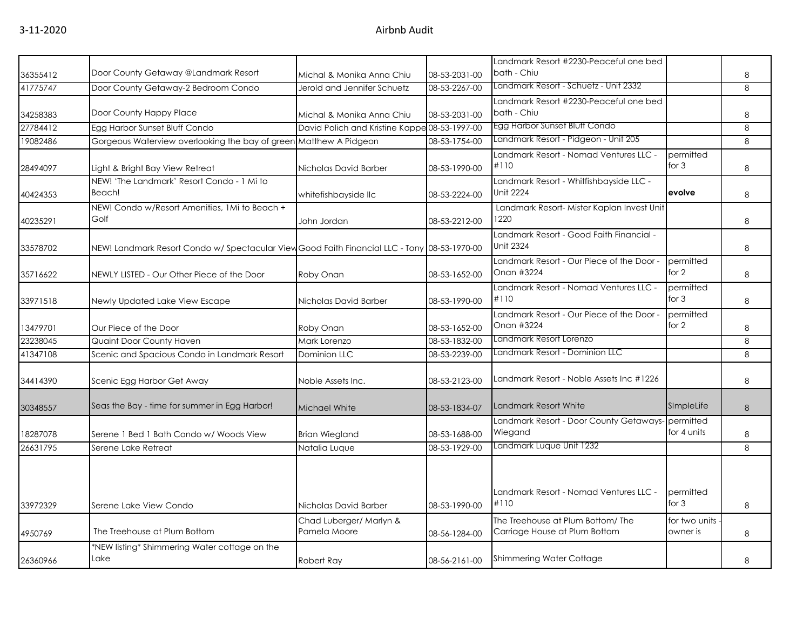| 36355412 | Door County Getaway @Landmark Resort                                                        | Michal & Monika Anna Chiu                     | 08-53-2031-00 | Landmark Resort #2230-Peaceful one bed<br>bath - Chiu             |                           | 8 |
|----------|---------------------------------------------------------------------------------------------|-----------------------------------------------|---------------|-------------------------------------------------------------------|---------------------------|---|
| 41775747 | Door County Getaway-2 Bedroom Condo                                                         | Jerold and Jennifer Schuetz                   | 08-53-2267-00 | Landmark Resort - Schuetz - Unit 2332                             |                           | 8 |
| 34258383 | Door County Happy Place                                                                     | Michal & Monika Anna Chiu                     | 08-53-2031-00 | Landmark Resort #2230-Peaceful one bed<br>bath - Chiu             |                           | 8 |
| 27784412 | Egg Harbor Sunset Bluff Condo                                                               | David Polich and Kristine Kappe 08-53-1997-00 |               | Egg Harbor Sunset Bluff Condo                                     |                           | 8 |
| 19082486 | Gorgeous Waterview overlooking the bay of green Matthew A Pidgeon                           |                                               | 08-53-1754-00 | Landmark Resort - Pidgeon - Unit 205                              |                           | 8 |
| 28494097 | Light & Bright Bay View Retreat                                                             | Nicholas David Barber                         | 08-53-1990-00 | Landmark Resort - Nomad Ventures LLC -<br>#110                    | permitted<br>for $3$      | 8 |
| 40424353 | NEW! 'The Landmark' Resort Condo - 1 Mi to<br>Beach!                                        | whitefishbayside Ilc                          | 08-53-2224-00 | Landmark Resort - Whitfishbayside LLC -<br><b>Unit 2224</b>       | evolve                    | 8 |
| 40235291 | NEW! Condo w/Resort Amenities, 1Mi to Beach +<br>Golf                                       | John Jordan                                   | 08-53-2212-00 | Landmark Resort- Mister Kaplan Invest Unit<br>1220                |                           | 8 |
| 33578702 | NEW! Landmark Resort Condo w/ Spectacular ViewGood Faith Financial LLC - Tony 08-53-1970-00 |                                               |               | Landmark Resort - Good Faith Financial -<br><b>Unit 2324</b>      |                           | 8 |
| 35716622 | NEWLY LISTED - Our Other Piece of the Door                                                  | Roby Onan                                     | 08-53-1652-00 | Landmark Resort - Our Piece of the Door -<br>Onan #3224           | permitted<br>for 2        | 8 |
| 33971518 | Newly Updated Lake View Escape                                                              | Nicholas David Barber                         | 08-53-1990-00 | Landmark Resort - Nomad Ventures LLC -<br>#110                    | permitted<br>for $3$      | 8 |
| 13479701 | Our Piece of the Door                                                                       | Roby Onan                                     | 08-53-1652-00 | Landmark Resort - Our Piece of the Door -<br>Onan #3224           | permitted<br>for 2        | 8 |
| 23238045 | Quaint Door County Haven                                                                    | Mark Lorenzo                                  | 08-53-1832-00 | Landmark Resort Lorenzo                                           |                           | 8 |
| 41347108 | Scenic and Spacious Condo in Landmark Resort                                                | <b>Dominion LLC</b>                           | 08-53-2239-00 | Landmark Resort - Dominion LLC                                    |                           | 8 |
| 34414390 | Scenic Egg Harbor Get Away                                                                  | Noble Assets Inc.                             | 08-53-2123-00 | Landmark Resort - Noble Assets Inc #1226                          |                           | 8 |
| 30348557 | Seas the Bay - time for summer in Egg Harbor!                                               | Michael White                                 | 08-53-1834-07 | <b>Landmark Resort White</b>                                      | SImpleLife                | 8 |
| 18287078 | Serene 1 Bed 1 Bath Condo w/ Woods View                                                     | <b>Brian Wiegland</b>                         | 08-53-1688-00 | Landmark Resort - Door County Getaways-<br>Wiegand                | permitted<br>for 4 units  | 8 |
| 26631795 | Serene Lake Retreat                                                                         | Natalia Luque                                 | 08-53-1929-00 | Landmark Luque Unit 1232                                          |                           | 8 |
| 33972329 | Serene Lake View Condo                                                                      | Nicholas David Barber                         | 08-53-1990-00 | Landmark Resort - Nomad Ventures LLC -<br>#110                    | permitted<br>for $3$      | 8 |
| 4950769  | The Treehouse at Plum Bottom                                                                | Chad Luberger/ Marlyn &<br>Pamela Moore       | 08-56-1284-00 | The Treehouse at Plum Bottom/The<br>Carriage House at Plum Bottom | for two units<br>owner is | 8 |
| 26360966 | *NEW listing* Shimmering Water cottage on the<br>Lake                                       | Robert Ray                                    | 08-56-2161-00 | Shimmering Water Cottage                                          |                           | 8 |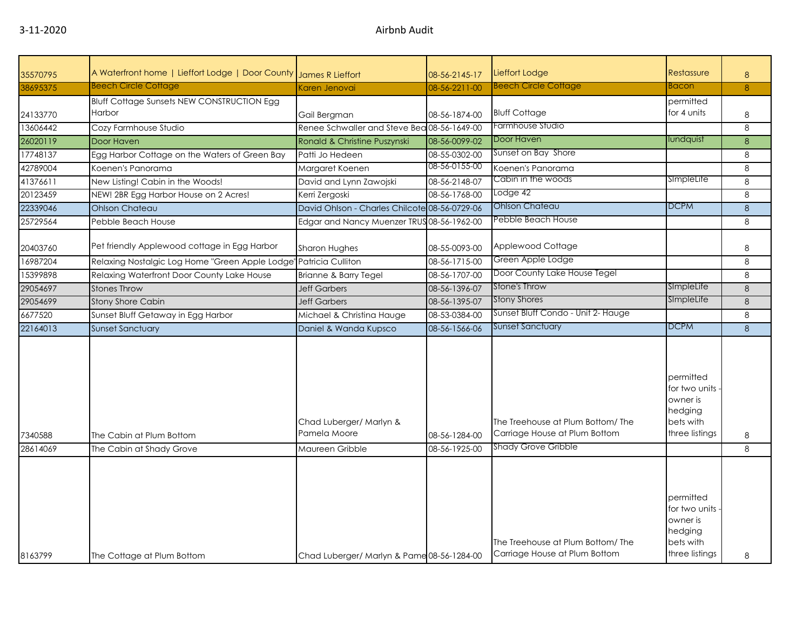| 35570795            | A Waterfront home   Lieffort Lodge   Door County     | James R Lieffort                                           | 08-56-2145-17                  | Lieffort Lodge                                                                                  | Restassure                                                                        | 8        |
|---------------------|------------------------------------------------------|------------------------------------------------------------|--------------------------------|-------------------------------------------------------------------------------------------------|-----------------------------------------------------------------------------------|----------|
| 38695375            | <b>Beech Circle Cottage</b>                          | Karen Jenovai                                              | 08-56-2211-00                  | <b>Beech Circle Cottage</b>                                                                     | Bacon                                                                             | 8        |
|                     | <b>Bluff Cottage Sunsets NEW CONSTRUCTION Egg</b>    |                                                            |                                |                                                                                                 | permitted                                                                         |          |
| 24133770            | Harbor                                               | Gail Bergman                                               | 08-56-1874-00                  | <b>Bluff Cottage</b>                                                                            | for 4 units                                                                       | 8        |
| 13606442            | Cozy Farmhouse Studio                                | Renee Schwaller and Steve Bea 08-56-1649-00                |                                | Farmhouse Studio                                                                                |                                                                                   | 8        |
| 26020119            | Door Haven                                           | Ronald & Christine Puszynski                               | 08-56-0099-02                  | Door Haven                                                                                      | lundquist                                                                         | 8        |
| 17748137            | Egg Harbor Cottage on the Waters of Green Bay        | Patti Jo Hedeen                                            | 08-55-0302-00                  | Sunset on Bay Shore                                                                             |                                                                                   | 8        |
| 42789004            | Koenen's Panorama                                    | Margaret Koenen                                            | 08-56-0155-00                  | Koenen's Panorama                                                                               |                                                                                   | 8        |
| 41376611            | New Listing! Cabin in the Woods!                     | David and Lynn Zawojski                                    | 08-56-2148-07                  | Cabin in the woods                                                                              | SImpleLife                                                                        | 8        |
| 20123459            | NEW! 2BR Egg Harbor House on 2 Acres!                | Kerri Zergoski                                             | 08-56-1768-00                  | Lodge 42                                                                                        |                                                                                   | 8        |
| 22339046            | <b>Ohlson Chateau</b>                                | David Ohlson - Charles Chilcote 08-56-0729-06              |                                | Ohlson Chateau                                                                                  | <b>DCPM</b>                                                                       | $\delta$ |
| 25729564            | Pebble Beach House                                   | Edgar and Nancy Muenzer TRUS 08-56-1962-00                 |                                | Pebble Beach House                                                                              |                                                                                   | 8        |
|                     |                                                      |                                                            |                                |                                                                                                 |                                                                                   |          |
| 20403760            | Pet friendly Applewood cottage in Egg Harbor         | Sharon Hughes                                              | 08-55-0093-00                  | Applewood Cottage                                                                               |                                                                                   | 8        |
| 16987204            | Relaxing Nostalgic Log Home "Green Apple Lodge       | <b>Patricia Culliton</b>                                   | 08-56-1715-00                  | Green Apple Lodge                                                                               |                                                                                   | 8        |
| 15399898            | Relaxing Waterfront Door County Lake House           | Brianne & Barry Tegel                                      | 08-56-1707-00                  | Door County Lake House Tegel                                                                    |                                                                                   | 8        |
| 29054697            | <b>Stones Throw</b>                                  | <b>Jeff Garbers</b>                                        | 08-56-1396-07                  | Stone's Throw                                                                                   | SimpleLife                                                                        | 8        |
| 29054699            | <b>Stony Shore Cabin</b>                             | <b>Jeff Garbers</b>                                        | 08-56-1395-07                  | <b>Stony Shores</b>                                                                             | SImpleLife                                                                        | 8        |
| 6677520             | Sunset Bluff Getaway in Egg Harbor                   | Michael & Christina Hauge                                  | 08-53-0384-00                  | Sunset Bluff Condo - Unit 2- Hauge                                                              |                                                                                   | 8        |
| 22164013            | Sunset Sanctuary                                     | Daniel & Wanda Kupsco                                      | 08-56-1566-06                  | Sunset Sanctuary                                                                                | <b>DCPM</b>                                                                       | 8        |
| 7340588<br>28614069 | The Cabin at Plum Bottom<br>The Cabin at Shady Grove | Chad Luberger/ Marlyn &<br>Pamela Moore<br>Maureen Gribble | 08-56-1284-00<br>08-56-1925-00 | The Treehouse at Plum Bottom/The<br>Carriage House at Plum Bottom<br><b>Shady Grove Gribble</b> | permitted<br>for two units.<br>owner is<br>hedging<br>bets with<br>three listings | 8<br>8   |
|                     |                                                      |                                                            |                                |                                                                                                 |                                                                                   |          |
| 8163799             | The Cottage at Plum Bottom                           | Chad Luberger/ Marlyn & Pame 08-56-1284-00                 |                                | The Treehouse at Plum Bottom/The<br>Carriage House at Plum Bottom                               | permitted<br>for two units<br>owner is<br>hedging<br>bets with<br>three listings  | 8        |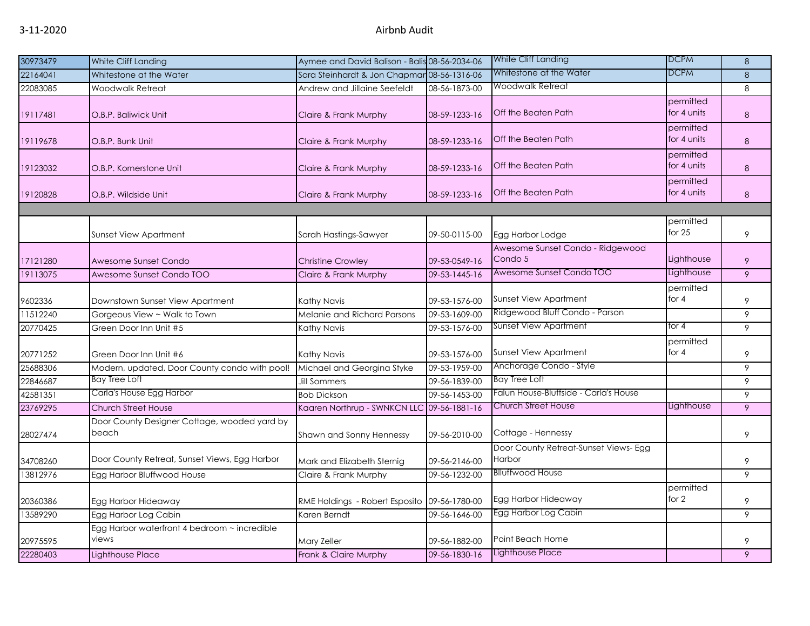| 30973479 | White Cliff Landing                                   | Aymee and David Balison - Balis 08-56-2034-06 |               | White Cliff Landing                            | <b>DCPM</b>              | 8 |
|----------|-------------------------------------------------------|-----------------------------------------------|---------------|------------------------------------------------|--------------------------|---|
| 22164041 | Whitestone at the Water                               | Sara Steinhardt & Jon Chapmar 08-56-1316-06   |               | Whitestone at the Water                        | DCPM                     | 8 |
| 22083085 | Woodwalk Retreat                                      | Andrew and Jillaine Seefeldt                  | 08-56-1873-00 | Woodwalk Retreat                               |                          | 8 |
| 19117481 | O.B.P. Baliwick Unit                                  | Claire & Frank Murphy                         | 08-59-1233-16 | <b>Off the Beaten Path</b>                     | permitted<br>for 4 units | 8 |
| 19119678 | O.B.P. Bunk Unit                                      | Claire & Frank Murphy                         | 08-59-1233-16 | Off the Beaten Path                            | permitted<br>for 4 units | 8 |
| 19123032 | O.B.P. Kornerstone Unit                               | Claire & Frank Murphy                         | 08-59-1233-16 | <b>Off the Beaten Path</b>                     | permitted<br>for 4 units | 8 |
| 19120828 | O.B.P. Wildside Unit                                  | Claire & Frank Murphy                         | 08-59-1233-16 | <b>Off the Beaten Path</b>                     | permitted<br>for 4 units | 8 |
|          |                                                       |                                               |               |                                                |                          |   |
|          | <b>Sunset View Apartment</b>                          | Sarah Hastings-Sawyer                         | 09-50-0115-00 | Egg Harbor Lodge                               | permitted<br>for $25$    | 9 |
| 17121280 | Awesome Sunset Condo                                  | <b>Christine Crowley</b>                      | 09-53-0549-16 | Awesome Sunset Condo - Ridgewood<br>Condo 5    | Lighthouse               | 9 |
| 19113075 | Awesome Sunset Condo TOO                              | Claire & Frank Murphy                         | 09-53-1445-16 | Awesome Sunset Condo TOO                       | Lighthouse               | 9 |
| 9602336  | Downstown Sunset View Apartment                       | Kathy Navis                                   | 09-53-1576-00 | <b>Sunset View Apartment</b>                   | permitted<br>for $4$     | 9 |
| 11512240 | Gorgeous View ~ Walk to Town                          | Melanie and Richard Parsons                   | 09-53-1609-00 | Ridgewood Bluff Condo - Parson                 |                          | 9 |
| 20770425 | Green Door Inn Unit #5                                | Kathy Navis                                   | 09-53-1576-00 | <b>Sunset View Apartment</b>                   | for 4                    | 9 |
| 20771252 | Green Door Inn Unit #6                                | Kathy Navis                                   | 09-53-1576-00 | <b>Sunset View Apartment</b>                   | permitted<br>for 4       | 9 |
| 25688306 | Modern, updated, Door County condo with pool!         | Michael and Georgina Styke                    | 09-53-1959-00 | Anchorage Condo - Style                        |                          | 9 |
| 22846687 | Bay Tree Loft                                         | <b>Jill Sommers</b>                           | 09-56-1839-00 | <b>Bay Tree Loft</b>                           |                          | 9 |
| 42581351 | Carla's House Egg Harbor                              | <b>Bob Dickson</b>                            | 09-56-1453-00 | Falun House-Bluffside - Carla's House          |                          | 9 |
| 23769295 | <b>Church Street House</b>                            | Kaaren Northrup - SWNKCN LLC 09-56-1881-16    |               | <b>Church Street House</b>                     | Lighthouse               | 9 |
| 28027474 | Door County Designer Cottage, wooded yard by<br>beach | Shawn and Sonny Hennessy                      | 09-56-2010-00 | Cottage - Hennessy                             |                          | 9 |
| 34708260 | Door County Retreat, Sunset Views, Egg Harbor         | Mark and Elizabeth Sternig                    | 09-56-2146-00 | Door County Retreat-Sunset Views-Egg<br>Harbor |                          | 9 |
| 13812976 | Egg Harbor Bluffwood House                            | Claire & Frank Murphy                         | 09-56-1232-00 | <b>Blluffwood House</b>                        |                          | 9 |
| 20360386 | Egg Harbor Hideaway                                   | RME Holdings - Robert Esposito 09-56-1780-00  |               | Egg Harbor Hideaway                            | permitted<br>for $2$     | 9 |
| 13589290 | Egg Harbor Log Cabin                                  | Karen Berndt                                  | 09-56-1646-00 | Egg Harbor Log Cabin                           |                          | 9 |
| 20975595 | Egg Harbor waterfront 4 bedroom ~ incredible<br>views | Mary Zeller                                   | 09-56-1882-00 | Point Beach Home                               |                          | 9 |
| 22280403 | Lighthouse Place                                      | Frank & Claire Murphy                         | 09-56-1830-16 | Lighthouse Place                               |                          | 9 |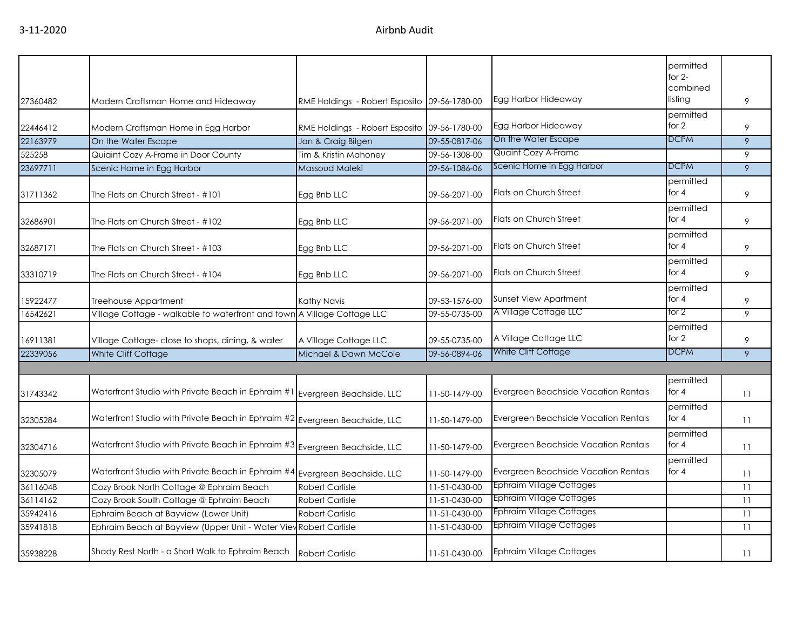| 27360482 | Modern Craftsman Home and Hideaway                                | RME Holdings - Robert Esposito 09-56-1780-00 |               | Egg Harbor Hideaway                  | permitted<br>for $2-$<br>combined<br>listing | 9  |
|----------|-------------------------------------------------------------------|----------------------------------------------|---------------|--------------------------------------|----------------------------------------------|----|
|          |                                                                   |                                              |               |                                      | permitted                                    |    |
| 22446412 | Modern Craftsman Home in Egg Harbor                               | RME Holdings - Robert Esposito 09-56-1780-00 |               | Egg Harbor Hideaway                  | for $2$                                      | 9  |
| 22163979 | On the Water Escape                                               | Jan & Craig Bilgen                           | 09-55-0817-06 | On the Water Escape                  | <b>DCPM</b>                                  | 9  |
| 525258   | Quiaint Cozy A-Frame in Door County                               | Tim & Kristin Mahoney                        | 09-56-1308-00 | <b>Quaint Cozy A-Frame</b>           |                                              | 9  |
| 23697711 | Scenic Home in Egg Harbor                                         | Massoud Maleki                               | 09-56-1086-06 | Scenic Home in Egg Harbor            | <b>DCPM</b>                                  | 9  |
| 31711362 | The Flats on Church Street - #101                                 | Egg Bnb LLC                                  | 09-56-2071-00 | Flats on Church Street               | permitted<br>for $4$                         | 9  |
| 32686901 | The Flats on Church Street - #102                                 | Egg Bnb LLC                                  | 09-56-2071-00 | Flats on Church Street               | permitted<br>for $4$                         | 9  |
| 32687171 | The Flats on Church Street - #103                                 | Egg Bnb LLC                                  | 09-56-2071-00 | Flats on Church Street               | permitted<br>for $4$                         | 9  |
| 33310719 | The Flats on Church Street - #104                                 | Egg Bnb LLC                                  | 09-56-2071-00 | Flats on Church Street               | permitted<br>for $4$                         | 9  |
| 15922477 | Treehouse Appartment                                              | Kathy Navis                                  | 09-53-1576-00 | <b>Sunset View Apartment</b>         | permitted<br>for $4$                         | 9  |
| 16542621 | Village Cottage - walkable to waterfront and town                 | A Village Cottage LLC                        | 09-55-0735-00 | A Village Cottage LLC                | tor 2                                        | 9  |
| 16911381 | Village Cottage- close to shops, dining, & water                  | A Village Cottage LLC                        | 09-55-0735-00 | A Village Cottage LLC                | permitted<br>for 2                           | 9  |
| 22339056 | White Cliff Cottage                                               | Michael & Dawn McCole                        | 09-56-0894-06 | White Cliff Cottage                  | <b>DCPM</b>                                  | 9  |
|          |                                                                   |                                              |               |                                      |                                              |    |
| 31743342 | Waterfront Studio with Private Beach in Ephraim #1                | Evergreen Beachside, LLC                     | 11-50-1479-00 | Evergreen Beachside Vacation Rentals | permitted<br>for $4$                         | 11 |
| 32305284 | Waterfront Studio with Private Beach in Ephraim #2                | Evergreen Beachside, LLC                     | 11-50-1479-00 | Evergreen Beachside Vacation Rentals | permitted<br>for $4$                         | 11 |
| 32304716 | Waterfront Studio with Private Beach in Ephraim #3                | Evergreen Beachside, LLC                     | 11-50-1479-00 | Evergreen Beachside Vacation Rentals | permitted<br>for $4$                         | 11 |
| 32305079 | Waterfront Studio with Private Beach in Ephraim #4                | Evergreen Beachside, LLC                     | 11-50-1479-00 | Evergreen Beachside Vacation Rentals | permitted<br>for $4$                         | 11 |
| 36116048 | Cozy Brook North Cottage @ Ephraim Beach                          | <b>Robert Carlisle</b>                       | 11-51-0430-00 | <b>Ephraim Village Cottages</b>      |                                              | 11 |
| 36114162 | Cozy Brook South Cottage @ Ephraim Beach                          | <b>Robert Carlisle</b>                       | 11-51-0430-00 | <b>Ephraim Village Cottages</b>      |                                              | 11 |
| 35942416 | Ephraim Beach at Bayview (Lower Unit)                             | <b>Robert Carlisle</b>                       | 11-51-0430-00 | <b>Ephraim Village Cottages</b>      |                                              | 11 |
| 35941818 | Ephraim Beach at Bayview (Upper Unit - Water View Robert Carlisle |                                              | 11-51-0430-00 | <b>Ephraim Village Cottages</b>      |                                              | 11 |
| 35938228 | Shady Rest North - a Short Walk to Ephraim Beach                  | <b>Robert Carlisle</b>                       | 11-51-0430-00 | <b>Ephraim Village Cottages</b>      |                                              | 11 |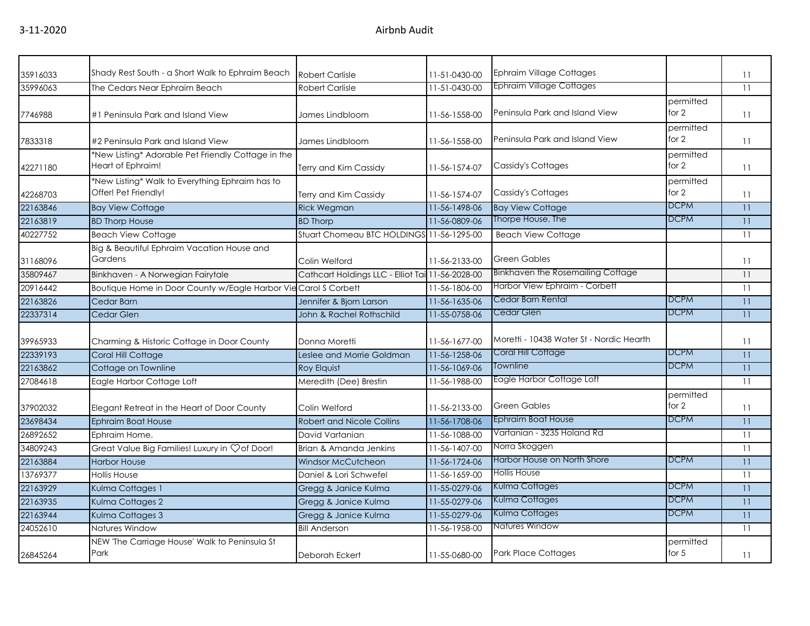| 35916033 | Shady Rest South - a Short Walk to Ephraim Beach                        | <b>Robert Carlisle</b>                           | 11-51-0430-00   | <b>Ephraim Village Cottages</b>          |                      | 11 |
|----------|-------------------------------------------------------------------------|--------------------------------------------------|-----------------|------------------------------------------|----------------------|----|
| 35996063 | The Cedars Near Ephraim Beach                                           | <b>Robert Carlisle</b>                           | 11-51-0430-00   | <b>Ephraim Village Cottages</b>          |                      | 11 |
| 7746988  | #1 Peninsula Park and Island View                                       | James Lindbloom                                  | 11-56-1558-00   | Peninsula Park and Island View           | permitted<br>for $2$ | 11 |
| 7833318  | #2 Peninsula Park and Island View                                       | James Lindbloom                                  | 11-56-1558-00   | Peninsula Park and Island View           | permitted<br>for $2$ | 11 |
| 42271180 | *New Listing* Adorable Pet Friendly Cottage in the<br>Heart of Ephraim! | Terry and Kim Cassidy                            | 11-56-1574-07   | Cassidy's Cottages                       | permitted<br>for $2$ | 11 |
| 42268703 | *New Listing* Walk to Everything Ephraim has to<br>Offer! Pet Friendly! | Terry and Kim Cassidy                            | 11-56-1574-07   | Cassidy's Cottages                       | permitted<br>for 2   | 11 |
| 22163846 | <b>Bay View Cottage</b>                                                 | <b>Rick Wegman</b>                               | 11-56-1498-06   | <b>Bay View Cottage</b>                  | <b>DCPM</b>          | 11 |
| 22163819 | <b>BD Thorp House</b>                                                   | <b>BD Thorp</b>                                  | 11-56-0809-06   | Thorpe House, The                        | <b>DCPM</b>          | 11 |
| 40227752 | <b>Beach View Cottage</b>                                               | Stuart Chomeau BTC HOLDINGS 11-56-1295-00        |                 | <b>Beach View Cottage</b>                |                      | 11 |
| 31168096 | Big & Beautiful Ephraim Vacation House and<br>Gardens                   | Colin Welford                                    | 11-56-2133-00   | <b>Green Gables</b>                      |                      | 11 |
| 35809467 | Binkhaven - A Norwegian Fairytale                                       | Cathcart Holdings LLC - Elliot Tai 11-56-2028-00 |                 | Binkhaven the Rosemailing Cottage        |                      | 11 |
| 20916442 | Boutique Home in Door County w/Eagle Harbor Vie Carol S Corbett         |                                                  | 11-56-1806-00   | Harbor View Ephraim - Corbett            |                      | 11 |
| 22163826 | Cedar Barn                                                              | Jennifer & Bjorn Larson                          | 11-56-1635-06   | Cedar Barn Rental                        | <b>DCPM</b>          | 11 |
| 22337314 | Cedar Glen                                                              | John & Rachel Rothschild                         | 11-55-0758-06   | Cedar Glen                               | <b>DCPM</b>          | 11 |
| 39965933 | Charming & Historic Cottage in Door County                              | Donna Moretti                                    | 11-56-1677-00   | Moretti - 10438 Water St - Nordic Hearth |                      | 11 |
| 22339193 | Coral Hill Cottage                                                      | Leslee and Morrie Goldman                        | 11-56-1258-06   | Coral Hill Cottage                       | <b>DCPM</b>          | 11 |
| 22163862 | Cottage on Townline                                                     | <b>Roy Elquist</b>                               | 11-56-1069-06   | Townline                                 | <b>DCPM</b>          | 11 |
| 27084618 | Eagle Harbor Cottage Loft                                               | Meredith (Dee) Brestin                           | 11-56-1988-00   | Eagle Harbor Cottage Loft                |                      | 11 |
| 37902032 | Elegant Retreat in the Heart of Door County                             | Colin Welford                                    | 11-56-2133-00   | <b>Green Gables</b>                      | permitted<br>for $2$ | 11 |
| 23698434 | <b>Ephraim Boat House</b>                                               | <b>Robert and Nicole Collins</b>                 | 11-56-1708-06   | <b>Ephraim Boat House</b>                | <b>DCPM</b>          | 11 |
| 26892652 | Ephraim Home.                                                           | David Vartanian                                  | 11-56-1088-00   | Vartanian - 3235 Holand Rd               |                      | 11 |
| 34809243 | Great Value Big Families! Luxury in Çof Door!                           | Brian & Amanda Jenkins                           | $11-56-1407-00$ | Norra Skoggen                            |                      | 11 |
| 22163884 | <b>Harbor House</b>                                                     | <b>Windsor McCutcheon</b>                        | 11-56-1724-06   | Harbor House on North Shore              | <b>DCPM</b>          | 11 |
| 13769377 | <b>Hollis House</b>                                                     | Daniel & Lori Schwefel                           | 11-56-1659-00   | <b>Hollis House</b>                      |                      | 11 |
| 22163929 | Kulma Cottages 1                                                        | Gregg & Janice Kulma                             | 11-55-0279-06   | Kulma Cottages                           | <b>DCPM</b>          | 11 |
| 22163935 | Kulma Cottages 2                                                        | Gregg & Janice Kulma                             | 11-55-0279-06   | Kulma Cottages                           | <b>DCPM</b>          | 11 |
| 22163944 | Kulma Cottages 3                                                        | Gregg & Janice Kulma                             | 11-55-0279-06   | Kulma Cottages                           | <b>DCPM</b>          | 11 |
| 24052610 | Natures Window                                                          | <b>Bill Anderson</b>                             | 11-56-1958-00   | Natures Window                           |                      | 11 |
| 26845264 | NEW 'The Carriage House' Walk to Peninsula St<br>Park                   | Deborah Eckert                                   | 11-55-0680-00   | <b>Park Place Cottages</b>               | permitted<br>for $5$ | 11 |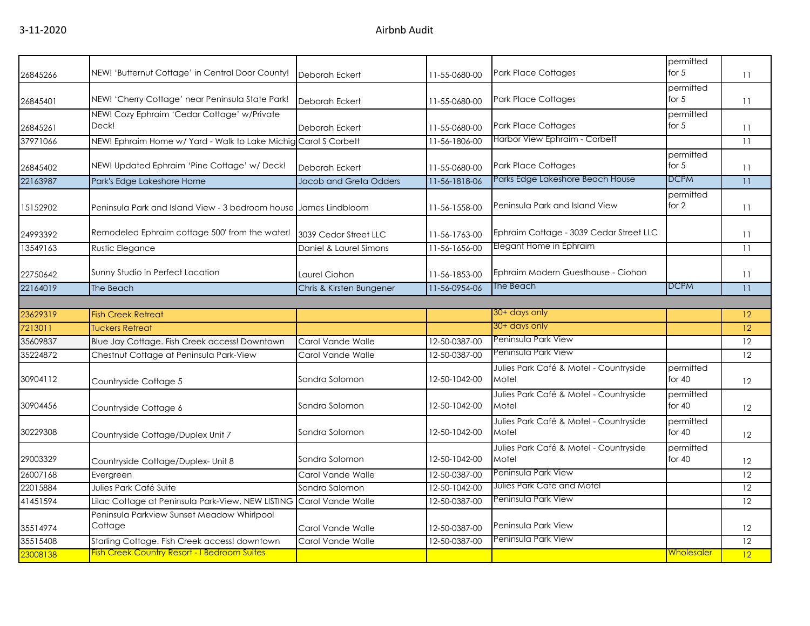| 26845266 | NEW! 'Butternut Cottage' in Central Door County!                 | Deborah Eckert           | 11-55-0680-00 | <b>Park Place Cottages</b>                      | permitted<br>for $5$  | 11              |
|----------|------------------------------------------------------------------|--------------------------|---------------|-------------------------------------------------|-----------------------|-----------------|
| 26845401 | NEW! 'Cherry Cottage' near Peninsula State Park!                 | Deborah Eckert           | 11-55-0680-00 | Park Place Cottages                             | permitted<br>for $5$  | 11              |
| 26845261 | NEW! Cozy Ephraim 'Cedar Cottage' w/Private<br>Deck!             | Deborah Eckert           | 11-55-0680-00 | <b>Park Place Cottages</b>                      | permitted<br>for $5$  | 11              |
| 37971066 | NEW! Ephraim Home w/ Yard - Walk to Lake Michig                  | Carol S Corbett          | 11-56-1806-00 | Harbor View Ephraim - Corbett                   |                       | 11              |
| 26845402 | NEW! Updated Ephraim 'Pine Cottage' w/ Deck!                     | Deborah Eckert           | 11-55-0680-00 | <b>Park Place Cottages</b>                      | permitted<br>for $5$  | 11              |
| 22163987 | Park's Edge Lakeshore Home                                       | Jacob and Greta Odders   | 11-56-1818-06 | Parks Edge Lakeshore Beach House                | <b>DCPM</b>           | 11              |
| 15152902 | Peninsula Park and Island View - 3 bedroom house James Lindbloom |                          | 11-56-1558-00 | Peninsula Park and Island View                  | permitted<br>for 2    | 11              |
| 24993392 | Remodeled Ephraim cottage 500' from the water!                   | 3039 Cedar Street LLC    | 11-56-1763-00 | Ephraim Cottage - 3039 Cedar Street LLC         |                       | 11              |
| 13549163 | <b>Rustic Elegance</b>                                           | Daniel & Laurel Simons   | 11-56-1656-00 | Elegant Home in Ephraim                         |                       | 11              |
| 22750642 | Sunny Studio in Perfect Location                                 | Laurel Ciohon            | 11-56-1853-00 | Ephraim Modern Guesthouse - Ciohon              |                       | 11              |
| 22164019 | The Beach                                                        | Chris & Kirsten Bungener | 11-56-0954-06 | The Beach                                       | <b>DCPM</b>           | 11              |
|          |                                                                  |                          |               |                                                 |                       |                 |
| 23629319 | <b>Fish Creek Retreat</b>                                        |                          |               | 30+ days only                                   |                       | 12              |
| 7213011  | <b>Tuckers Retreat</b>                                           |                          |               | 30+ days only                                   |                       | 12              |
| 35609837 | Blue Jay Cottage. Fish Creek access! Downtown                    | Carol Vande Walle        | 12-50-0387-00 | Peninsula Park View                             |                       | 12              |
| 35224872 | Chestnut Cottage at Peninsula Park-View                          | Carol Vande Walle        | 12-50-0387-00 | Peninsula Park View                             |                       | $\overline{12}$ |
| 30904112 | Countryside Cottage 5                                            | Sandra Solomon           | 12-50-1042-00 | Julies Park Café & Motel - Countryside<br>Motel | permitted<br>for $40$ | 12              |
| 30904456 | Countryside Cottage 6                                            | Sandra Solomon           | 12-50-1042-00 | Julies Park Café & Motel - Countryside<br>Motel | permitted<br>for $40$ | 12              |
| 30229308 | Countryside Cottage/Duplex Unit 7                                | Sandra Solomon           | 12-50-1042-00 | Julies Park Café & Motel - Countryside<br>Motel | permitted<br>for $40$ | 12              |
| 29003329 | Countryside Cottage/Duplex- Unit 8                               | Sandra Solomon           | 12-50-1042-00 | Julies Park Café & Motel - Countryside<br>Motel | permitted<br>for $40$ | 12              |
| 26007168 | Evergreen                                                        | Carol Vande Walle        | 12-50-0387-00 | Peninsula Park View                             |                       | 12              |
| 22015884 | Julies Park Café Suite                                           | Sandra Salomon           | 12-50-1042-00 | Julies Park Café and Motel                      |                       | 12              |
| 41451594 | Lilac Cottage at Peninsula Park-View, NEW LISTING                | Carol Vande Walle        | 12-50-0387-00 | Peninsula Park View                             |                       | 12              |
| 35514974 | Peninsula Parkview Sunset Meadow Whirlpool<br>Cottage            | Carol Vande Walle        | 12-50-0387-00 | Peninsula Park View                             |                       | 12              |
| 35515408 | Starling Cottage. Fish Creek access! downtown                    | Carol Vande Walle        | 12-50-0387-00 | Peninsula Park View                             |                       | 12              |
| 23008138 | <b>Fish Creek Country Resort - I Bedroom Suites</b>              |                          |               |                                                 | <u>Wholesaler</u>     | 12              |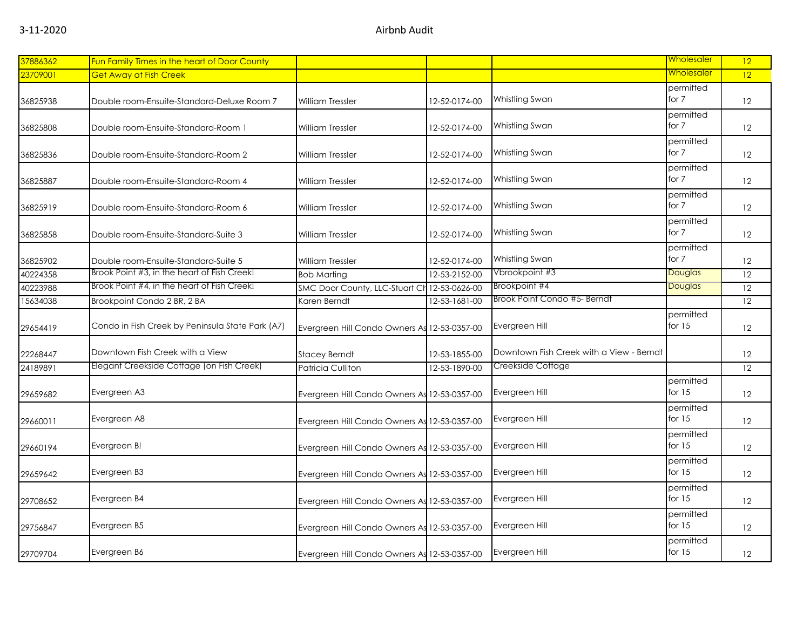| 37886362 | Fun Family Times in the heart of Door County     |                                              |               |                                          | Wholesaler            | 12 |
|----------|--------------------------------------------------|----------------------------------------------|---------------|------------------------------------------|-----------------------|----|
| 23709001 | <b>Get Away at Fish Creek</b>                    |                                              |               |                                          | <u>Wholesaler</u>     | 12 |
| 36825938 | Double room-Ensuite-Standard-Deluxe Room 7       | William Tressler                             | 12-52-0174-00 | Whistling Swan                           | permitted<br>for 7    | 12 |
| 36825808 | Double room-Ensuite-Standard-Room 1              | William Tressler                             | 12-52-0174-00 | Whistling Swan                           | permitted<br>for $7$  | 12 |
| 36825836 | Double room-Ensuite-Standard-Room 2              | William Tressler                             | 12-52-0174-00 | Whistling Swan                           | permitted<br>for 7    | 12 |
| 36825887 | Double room-Ensuite-Standard-Room 4              | William Tressler                             | 12-52-0174-00 | Whistling Swan                           | permitted<br>for $7$  | 12 |
| 36825919 | Double room-Ensuite-Standard-Room 6              | William Tressler                             | 12-52-0174-00 | Whistling Swan                           | permitted<br>for 7    | 12 |
| 36825858 | Double room-Ensuite-Standard-Suite 3             | William Tressler                             | 12-52-0174-00 | Whistling Swan                           | permitted<br>for 7    | 12 |
| 36825902 | Double room-Ensuite-Standard-Suite 5             | William Tressler                             | 12-52-0174-00 | Whistling Swan                           | permitted<br>for 7    | 12 |
| 40224358 | Brook Point #3, in the heart of Fish Creek!      | <b>Bob Marting</b>                           | 12-53-2152-00 | Vbrookpoint #3                           | Douglas               | 12 |
| 40223988 | Brook Point #4, in the heart of Fish Creek!      | SMC Door County, LLC-Stuart Cl               | 12-53-0626-00 | Brookpoint #4                            | <b>Douglas</b>        | 12 |
| 15634038 | Brookpoint Condo 2 BR, 2 BA                      | Karen Berndt                                 | 12-53-1681-00 | Brook Point Condo #5- Berndt             |                       | 12 |
| 29654419 | Condo in Fish Creek by Peninsula State Park (A7) | Evergreen Hill Condo Owners As 12-53-0357-00 |               | Evergreen Hill                           | permitted<br>for $15$ | 12 |
| 22268447 | Downtown Fish Creek with a View                  | <b>Stacey Berndt</b>                         | 12-53-1855-00 | Downtown Fish Creek with a View - Berndt |                       | 12 |
| 24189891 | Elegant Creekside Cottage (on Fish Creek)        | Patricia Culliton                            | 12-53-1890-00 | Creekside Cottage                        |                       | 12 |
| 29659682 | Evergreen A3                                     | Evergreen Hill Condo Owners As 12-53-0357-00 |               | Evergreen Hill                           | permitted<br>for $15$ | 12 |
| 29660011 | Evergreen A8                                     | Evergreen Hill Condo Owners As 12-53-0357-00 |               | Evergreen Hill                           | permitted<br>for $15$ | 12 |
| 29660194 | Evergreen B!                                     | Evergreen Hill Condo Owners As 12-53-0357-00 |               | Evergreen Hill                           | permitted<br>for $15$ | 12 |
| 29659642 | Evergreen B3                                     | Evergreen Hill Condo Owners As 12-53-0357-00 |               | Evergreen Hill                           | permitted<br>for $15$ | 12 |
| 29708652 | Evergreen B4                                     | Evergreen Hill Condo Owners As 12-53-0357-00 |               | Evergreen Hill                           | permitted<br>for $15$ | 12 |
| 29756847 | Evergreen B5                                     | Evergreen Hill Condo Owners As 12-53-0357-00 |               | Evergreen Hill                           | permitted<br>for $15$ | 12 |
| 29709704 | Evergreen B6                                     | Evergreen Hill Condo Owners As 12-53-0357-00 |               | Evergreen Hill                           | permitted<br>for $15$ | 12 |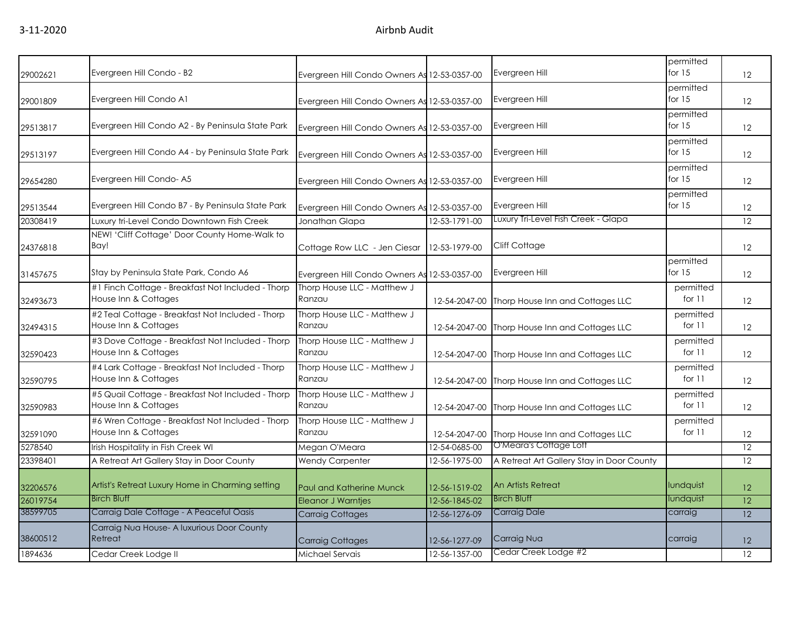| 29002621 | Evergreen Hill Condo - B2                                                 | Evergreen Hill Condo Owners As 12-53-0357-00 |               | Evergreen Hill                            | permitted<br>for $15$ | 12 |
|----------|---------------------------------------------------------------------------|----------------------------------------------|---------------|-------------------------------------------|-----------------------|----|
| 29001809 | Evergreen Hill Condo A1                                                   | Evergreen Hill Condo Owners As 12-53-0357-00 |               | Evergreen Hill                            | permitted<br>for $15$ | 12 |
| 29513817 | Evergreen Hill Condo A2 - By Peninsula State Park                         | Evergreen Hill Condo Owners As 12-53-0357-00 |               | Evergreen Hill                            | permitted<br>for $15$ | 12 |
| 29513197 | Evergreen Hill Condo A4 - by Peninsula State Park                         | Evergreen Hill Condo Owners As               | 12-53-0357-00 | Evergreen Hill                            | permitted<br>for $15$ | 12 |
| 29654280 | Evergreen Hill Condo-A5                                                   | Evergreen Hill Condo Owners As 12-53-0357-00 |               | Evergreen Hill                            | permitted<br>for $15$ | 12 |
| 29513544 | Evergreen Hill Condo B7 - By Peninsula State Park                         | Evergreen Hill Condo Owners As 12-53-0357-00 |               | Evergreen Hill                            | permitted<br>for $15$ | 12 |
| 20308419 | Luxury tri-Level Condo Downtown Fish Creek                                | Jonathan Glapa                               | 12-53-1791-00 | Luxury Tri-Level Fish Creek - Glapa       |                       | 12 |
| 24376818 | NEW! 'Cliff Cottage' Door County Home-Walk to<br>Bay!                     | Cottage Row LLC - Jen Ciesar                 | 12-53-1979-00 | Cliff Cottage                             |                       | 12 |
| 31457675 | Stay by Peninsula State Park, Condo A6                                    | Evergreen Hill Condo Owners As               | 12-53-0357-00 | Evergreen Hill                            | permitted<br>for $15$ | 12 |
| 32493673 | #1 Finch Cottage - Breakfast Not Included - Thorp<br>House Inn & Cottages | Thorp House LLC - Matthew J<br>Ranzau        | 12-54-2047-00 | Thorp House Inn and Cottages LLC          | permitted<br>for $11$ | 12 |
| 32494315 | #2 Teal Cottage - Breakfast Not Included - Thorp<br>House Inn & Cottages  | Thorp House LLC - Matthew J<br>Ranzau        | 12-54-2047-00 | Thorp House Inn and Cottages LLC          | permitted<br>for 11   | 12 |
| 32590423 | #3 Dove Cottage - Breakfast Not Included - Thorp<br>House Inn & Cottages  | Thorp House LLC - Matthew J<br>Ranzau        | 12-54-2047-00 | Thorp House Inn and Cottages LLC          | permitted<br>for 11   | 12 |
| 32590795 | #4 Lark Cottage - Breakfast Not Included - Thorp<br>House Inn & Cottages  | Thorp House LLC - Matthew J<br>Ranzau        | 12-54-2047-00 | Thorp House Inn and Cottages LLC          | permitted<br>for 11   | 12 |
| 32590983 | #5 Quail Cottage - Breakfast Not Included - Thorp<br>House Inn & Cottages | Thorp House LLC - Matthew J<br>Ranzau        | 12-54-2047-00 | Thorp House Inn and Cottages LLC          | permitted<br>for $11$ | 12 |
| 32591090 | #6 Wren Cottage - Breakfast Not Included - Thorp<br>House Inn & Cottages  | Thorp House LLC - Matthew J<br>Ranzau        | 12-54-2047-00 | Thorp House Inn and Cottages LLC          | permitted<br>for $11$ | 12 |
| 5278540  | Irish Hospitality in Fish Creek WI                                        | Megan O'Meara                                | 12-54-0685-00 | O'Meara's Cottage Loft                    |                       | 12 |
| 23398401 | A Retreat Art Gallery Stay in Door County                                 | <b>Wendy Carpenter</b>                       | 12-56-1975-00 | A Retreat Art Gallery Stay in Door County |                       | 12 |
| 32206576 | Artist's Retreat Luxury Home in Charming setting                          | <b>Paul and Katherine Munck</b>              | 12-56-1519-02 | An Artists Retreat                        | lundquist             | 12 |
| 26019754 | <b>Birch Bluff</b>                                                        | <b>Eleanor J Warntjes</b>                    | 12-56-1845-02 | <b>Birch Bluff</b>                        | lundquist             | 12 |
| 38599705 | Carraig Dale Cottage - A Peaceful Oasis                                   | <b>Carraig Cottages</b>                      | 12-56-1276-09 | <b>Carraig Dale</b>                       | carraig               | 12 |
| 38600512 | Carraig Nua House- A luxurious Door County<br>Retreat                     | <b>Carraig Cottages</b>                      | 12-56-1277-09 | Carraig Nua                               | carraig               | 12 |
| 1894636  | Cedar Creek Lodge II                                                      | Michael Servais                              | 12-56-1357-00 | Cedar Creek Lodge #2                      |                       | 12 |
|          |                                                                           |                                              |               |                                           |                       |    |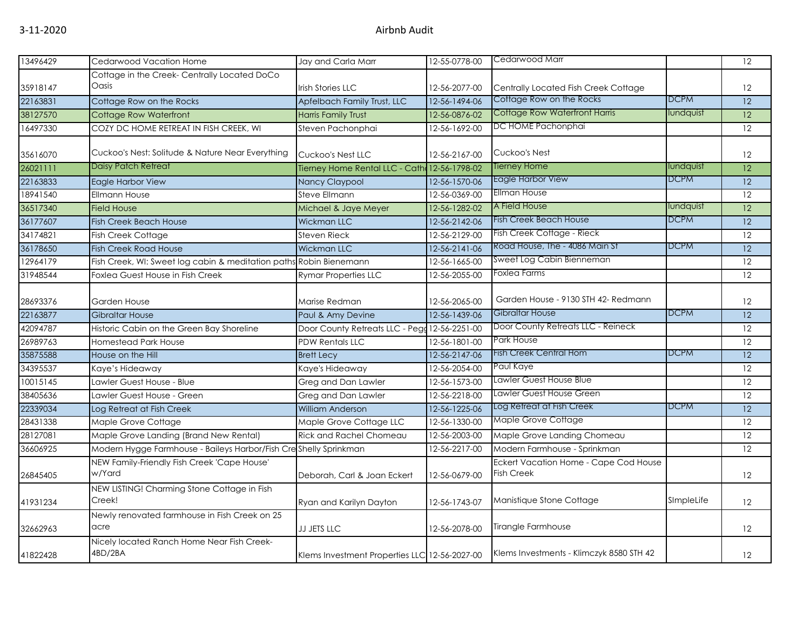| 13496429 | Cedarwood Vacation Home                                            | Jay and Carla Marr                            | 12-55-0778-00 | Cedarwood Marr                                             |             | 12              |
|----------|--------------------------------------------------------------------|-----------------------------------------------|---------------|------------------------------------------------------------|-------------|-----------------|
|          | Cottage in the Creek- Centrally Located DoCo                       |                                               |               |                                                            |             |                 |
| 35918147 | Oasis                                                              | <b>Irish Stories LLC</b>                      | 12-56-2077-00 | Centrally Located Fish Creek Cottage                       |             | 12              |
| 22163831 | Cottage Row on the Rocks                                           | Apfelbach Family Trust, LLC                   | 12-56-1494-06 | Cottage Row on the Rocks                                   | <b>DCPM</b> | 12              |
| 38127570 | Cottage Row Waterfront                                             | Harris Family Trust                           | 12-56-0876-02 | Cottage Row Waterfront Harris                              | lundquist   | 12              |
| 16497330 | COZY DC HOME RETREAT IN FISH CREEK, WI                             | Steven Pachonphai                             | 12-56-1692-00 | DC HOME Pachonphai                                         |             | 12              |
| 35616070 | Cuckoo's Nest: Solitude & Nature Near Everything                   | Cuckoo's Nest LLC                             | 12-56-2167-00 | Cuckoo's Nest                                              |             | 12              |
| 26021111 | Daisy Patch Retreat                                                | Tierney Home Rental LLC - Cath 12-56-1798-02  |               | <b>Tierney Home</b>                                        | lundquist   | 12              |
| 22163833 | <b>Eagle Harbor View</b>                                           | <b>Nancy Claypool</b>                         | 12-56-1570-06 | Eagle Harbor View                                          | <b>DCPM</b> | 12              |
| 18941540 | <b>Ellmann House</b>                                               | Steve Ellmann                                 | 12-56-0369-00 | <b>Ellman House</b>                                        |             | 12              |
| 36517340 | <b>Field House</b>                                                 | Michael & Jaye Meyer                          | 12-56-1282-02 | A Field House                                              | lundquist   | 12              |
| 36177607 | <b>Fish Creek Beach House</b>                                      | <b>Wickman LLC</b>                            | 12-56-2142-06 | <b>Fish Creek Beach House</b>                              | <b>DCPM</b> | $\overline{12}$ |
| 34174821 | Fish Creek Cottage                                                 | Steven Rieck                                  | 12-56-2129-00 | Fish Creek Cottage - Rieck                                 |             | $\overline{12}$ |
| 36178650 | <b>Fish Creek Road House</b>                                       | <b>Wickman LLC</b>                            | 12-56-2141-06 | Road House, The - 4086 Main St                             | <b>DCPM</b> | $\overline{12}$ |
| 12964179 | Fish Creek, WI: Sweet log cabin & meditation paths Robin Bienemann |                                               | 12-56-1665-00 | Sweet Log Cabin Bienneman                                  |             | 12              |
| 31948544 | Foxlea Guest House in Fish Creek                                   | <b>Rymar Properties LLC</b>                   | 12-56-2055-00 | Foxlea Farms                                               |             | $\overline{12}$ |
| 28693376 | <b>Garden House</b>                                                | Marise Redman                                 | 12-56-2065-00 | Garden House - 9130 STH 42- Redmann                        |             | 12              |
| 22163877 | <b>Gibraltar House</b>                                             | Paul & Amy Devine                             | 12-56-1439-06 | Gibraltar House                                            | <b>DCPM</b> | 12              |
| 42094787 | Historic Cabin on the Green Bay Shoreline                          | Door County Retreats LLC - Pegg 12-56-2251-00 |               | Door County Retreats LLC - Reineck                         |             | 12              |
| 26989763 | Homestead Park House                                               | <b>PDW Rentals LLC</b>                        | 12-56-1801-00 | Park House                                                 |             | 12              |
| 35875588 | House on the Hill                                                  | <b>Brett Lecy</b>                             | 12-56-2147-06 | <b>Fish Creek Central Hom</b>                              | <b>DCPM</b> | 12              |
| 34395537 | Kaye's Hideaway                                                    | Kaye's Hideaway                               | 12-56-2054-00 | Paul Kaye                                                  |             | 12              |
| 10015145 | awler Guest House - Blue                                           | Greg and Dan Lawler                           | 12-56-1573-00 | Lawler Guest House Blue                                    |             | 12              |
| 38405636 | awler Guest House - Green                                          | Greg and Dan Lawler                           | 12-56-2218-00 | Lawler Guest House Green                                   |             | 12              |
| 22339034 | Log Retreat at Fish Creek                                          | William Anderson                              | 12-56-1225-06 | Log Retreat at Fish Creek                                  | <b>DCPM</b> | 12              |
| 28431338 | Maple Grove Cottage                                                | Maple Grove Cottage LLC                       | 12-56-1330-00 | Maple Grove Cottage                                        |             | 12              |
| 28127081 | Maple Grove Landing (Brand New Rental)                             | <b>Rick and Rachel Chomeau</b>                | 12-56-2003-00 | Maple Grove Landing Chomeau                                |             | 12              |
| 36606925 | Modern Hygge Farmhouse - Baileys Harbor/Fish Cre Shelly Sprinkman  |                                               | 12-56-2217-00 | Modern Farmhouse - Sprinkman                               |             | 12              |
| 26845405 | NEW Family-Friendly Fish Creek 'Cape House'<br>w/Yard              | Deborah, Carl & Joan Eckert                   | 12-56-0679-00 | Eckert Vacation Home - Cape Cod House<br><b>Fish Creek</b> |             | 12              |
| 41931234 | NEW LISTING! Charming Stone Cottage in Fish<br>Creek!              | Ryan and Karilyn Dayton                       | 12-56-1743-07 | Manistique Stone Cottage                                   | SImpleLife  | 12              |
| 32662963 | Newly renovated farmhouse in Fish Creek on 25<br>acre              | <b>JJ JETS LLC</b>                            | 12-56-2078-00 | Tirangle Farmhouse                                         |             | 12              |
| 41822428 | Nicely located Ranch Home Near Fish Creek-<br>4BD/2BA              | Klems Investment Properties LLC 12-56-2027-00 |               | Klems Investments - Klimczyk 8580 STH 42                   |             | 12              |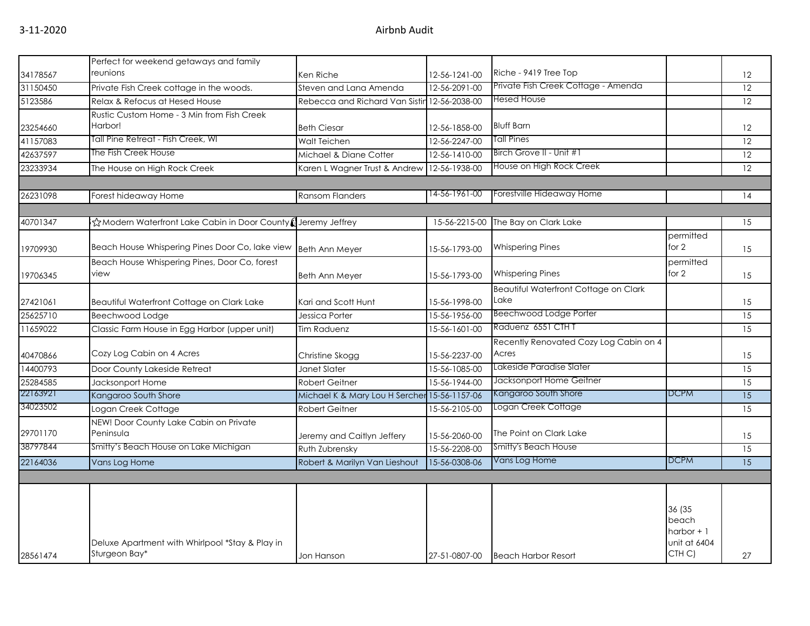|          | Perfect for weekend getaways and family                          |                                              |                       |                                              |                                                          |                 |
|----------|------------------------------------------------------------------|----------------------------------------------|-----------------------|----------------------------------------------|----------------------------------------------------------|-----------------|
| 34178567 | reunions                                                         | Ken Riche                                    | 12-56-1241-00         | Riche - 9419 Tree Top                        |                                                          | 12              |
| 31150450 | Private Fish Creek cottage in the woods.                         | Steven and Lana Amenda                       | 12-56-2091-00         | Private Fish Creek Cottage - Amenda          |                                                          | 12              |
| 5123586  | Relax & Refocus at Hesed House                                   | Rebecca and Richard Van Sistin               | 12-56-2038-00         | Hesed House                                  |                                                          | 12              |
|          | Rustic Custom Home - 3 Min from Fish Creek                       |                                              |                       |                                              |                                                          |                 |
| 23254660 | Harbor!                                                          | <b>Beth Ciesar</b>                           | 12-56-1858-00         | <b>Bluff Barn</b>                            |                                                          | 12              |
| 41157083 | Tall Pine Retreat - Fish Creek, WI                               | Walt Teichen                                 | 12-56-2247-00         | Tall Pines                                   |                                                          | 12              |
| 42637597 | The Fish Creek House                                             | Michael & Diane Cotter                       | 12-56-1410-00         | Birch Grove II - Unit #1                     |                                                          | 12              |
| 23233934 | The House on High Rock Creek                                     | Karen L Wagner Trust & Andrew                | 12-56-1938-00         | House on High Rock Creek                     |                                                          | 12              |
|          |                                                                  |                                              |                       |                                              |                                                          |                 |
| 26231098 | Forest hideaway Home                                             | <b>Ransom Flanders</b>                       | 14-56-1961-00         | Forestville Hideaway Home                    |                                                          | 14              |
|          |                                                                  |                                              |                       |                                              |                                                          |                 |
| 40701347 | i☆Modern Waterfront Lake Cabin in Door County (Jeremy Jeffrey    |                                              | 15-56-2215-00         | The Bay on Clark Lake                        |                                                          | 15              |
| 19709930 | Beach House Whispering Pines Door Co, lake view                  | <b>Beth Ann Meyer</b>                        | 15-56-1793-00         | <b>Whispering Pines</b>                      | permitted<br>for 2                                       | 15              |
|          | Beach House Whispering Pines, Door Co, forest                    |                                              |                       |                                              | permitted                                                |                 |
| 19706345 | view                                                             | <b>Beth Ann Meyer</b>                        | 15-56-1793-00         | <b>Whispering Pines</b>                      | for 2                                                    | 15              |
|          |                                                                  |                                              |                       | <b>Beautiful Waterfront Cottage on Clark</b> |                                                          |                 |
| 27421061 | Beautiful Waterfront Cottage on Clark Lake                       | Kari and Scott Hunt                          | 15-56-1998-00         | Lake                                         |                                                          | 15              |
| 25625710 | Beechwood Lodge                                                  | Jessica Porter                               | 15-56-1956-00         | Beechwood Lodge Porter                       |                                                          | 15              |
| 11659022 | Classic Farm House in Egg Harbor (upper unit)                    | Tim Raduenz                                  | 15-56-1601-00         | Raduenz 6551 CTH T                           |                                                          | 15              |
|          |                                                                  |                                              |                       | Recently Renovated Cozy Log Cabin on 4       |                                                          |                 |
| 40470866 | Cozy Log Cabin on 4 Acres                                        | Christine Skogg                              | 15-56-2237-00         | Acres                                        |                                                          | 15              |
| 14400793 | Door County Lakeside Retreat                                     | Janet Slater                                 | 15-56-1085-00         | Lakeside Paradise Slater                     |                                                          | 15              |
| 25284585 | Jacksonport Home                                                 | <b>Robert Geitner</b>                        | 15-56-1944-00         | Jacksonport Home Geitner                     |                                                          | 15              |
| 22163921 | Kangaroo South Shore                                             | Michael K & Mary Lou H Sercher 15-56-1157-06 |                       | Kangaroo South Shore                         | <b>DCPM</b>                                              | $\overline{15}$ |
| 34023502 | Logan Creek Cottage                                              | Robert Geitner                               | $15 - 56 - 2105 - 00$ | Logan Creek Cottage                          |                                                          | 15              |
| 29701170 | NEW! Door County Lake Cabin on Private<br>Peninsula              | Jeremy and Caitlyn Jeffery                   | 15-56-2060-00         | The Point on Clark Lake                      |                                                          | 15              |
| 38797844 | Smitty's Beach House on Lake Michigan                            | Ruth Zubrensky                               | 15-56-2208-00         | Smitty's Beach House                         |                                                          | 15              |
| 22164036 | Vans Log Home                                                    | Robert & Marilyn Van Lieshout                | 15-56-0308-06         | Vans Log Home                                | <b>DCPM</b>                                              | 15              |
|          |                                                                  |                                              |                       |                                              |                                                          |                 |
|          |                                                                  |                                              |                       |                                              |                                                          |                 |
|          | Deluxe Apartment with Whirlpool *Stay & Play in<br>Sturgeon Bay* |                                              |                       |                                              | 36 (35<br>beach<br>harbor $+1$<br>unit at 6404<br>CTH C) |                 |
| 28561474 |                                                                  | Jon Hanson                                   | 27-51-0807-00         | <b>Beach Harbor Resort</b>                   |                                                          | 27              |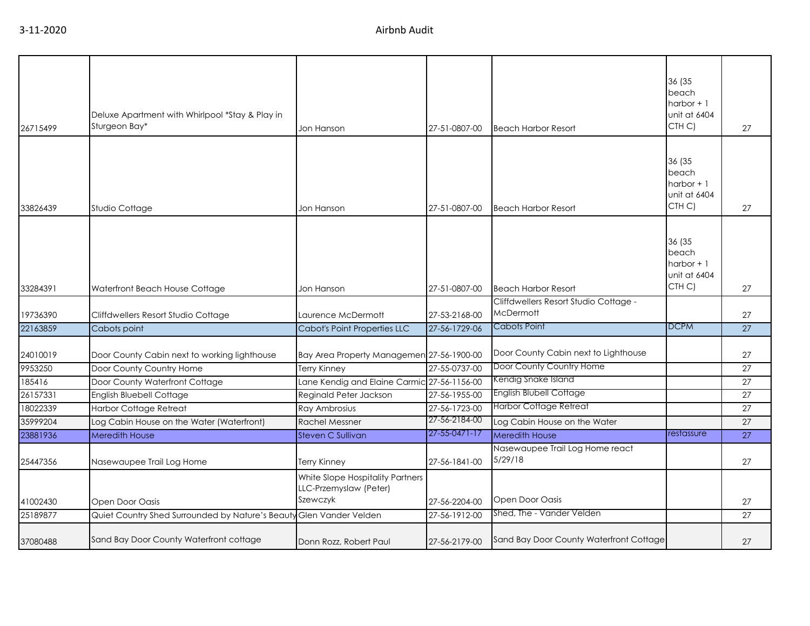| 26715499 | Deluxe Apartment with Whirlpool *Stay & Play in<br>Sturgeon Bay* | Jon Hanson                                                             | 27-51-0807-00 | <b>Beach Harbor Resort</b>                         | 36 (35<br>beach<br>harbor $+1$<br>unit at 6404<br>CTH <sub>C</sub> ) | 27              |
|----------|------------------------------------------------------------------|------------------------------------------------------------------------|---------------|----------------------------------------------------|----------------------------------------------------------------------|-----------------|
|          |                                                                  |                                                                        |               |                                                    |                                                                      |                 |
| 33826439 | Studio Cottage                                                   | Jon Hanson                                                             | 27-51-0807-00 | <b>Beach Harbor Resort</b>                         | 36 (35<br>beach<br>harbor $+1$<br>unit at 6404<br>CTH <sub>C</sub> ) | 27              |
|          |                                                                  |                                                                        |               |                                                    | 36 (35<br>beach<br>harbor $+1$<br>unit at 6404<br>CTH C)             |                 |
| 33284391 | Waterfront Beach House Cottage                                   | Jon Hanson                                                             | 27-51-0807-00 | <b>Beach Harbor Resort</b>                         |                                                                      | 27              |
| 19736390 | Cliffdwellers Resort Studio Cottage                              | Laurence McDermott                                                     | 27-53-2168-00 | Cliffdwellers Resort Studio Cottage -<br>McDermott |                                                                      | 27              |
| 22163859 | Cabots point                                                     | <b>Cabot's Point Properties LLC</b>                                    | 27-56-1729-06 | Cabots Point                                       | <b>DCPM</b>                                                          | 27              |
| 24010019 | Door County Cabin next to working lighthouse                     | Bay Area Property Managemen 27-56-1900-00                              |               | Door County Cabin next to Lighthouse               |                                                                      | 27              |
| 9953250  | Door County Country Home                                         | <b>Terry Kinney</b>                                                    | 27-55-0737-00 | Door County Country Home                           |                                                                      | $\overline{27}$ |
| 185416   | Door County Waterfront Cottage                                   | Lane Kendig and Elaine Carmic                                          | 27-56-1156-00 | Kendig Snake Island                                |                                                                      | 27              |
| 26157331 | <b>English Bluebell Cottage</b>                                  | Reginald Peter Jackson                                                 | 27-56-1955-00 | <b>English Blubell Cottage</b>                     |                                                                      | 27              |
| 18022339 | Harbor Cottage Retreat                                           | Ray Ambrosius                                                          | 27-56-1723-00 | <b>Harbor Cottage Retreat</b>                      |                                                                      | 27              |
| 35999204 | Log Cabin House on the Water (Waterfront)                        | <b>Rachel Messner</b>                                                  | 27-56-2184-00 | Log Cabin House on the Water                       |                                                                      | $\overline{27}$ |
| 23881936 | <b>Meredith House</b>                                            | Steven C Sullivan                                                      | 27-55-0471-17 | <b>Meredith House</b>                              | restassure                                                           | 27              |
| 25447356 | Nasewaupee Trail Log Home                                        | Terry Kinney                                                           | 27-56-1841-00 | Nasewaupee Trail Log Home react<br>5/29/18         |                                                                      | 27              |
| 41002430 | Open Door Oasis                                                  | White Slope Hospitality Partners<br>LLC-Przemyslaw (Peter)<br>Szewczyk | 27-56-2204-00 | Open Door Oasis                                    |                                                                      | 27              |
| 25189877 | Quiet Country Shed Surrounded by Nature's Beaut                  | Glen Vander Velden                                                     | 27-56-1912-00 | Shed, The - Vander Velden                          |                                                                      | $\overline{27}$ |
| 37080488 | Sand Bay Door County Waterfront cottage                          | Donn Rozz, Robert Paul                                                 | 27-56-2179-00 | Sand Bay Door County Waterfront Cottage            |                                                                      | 27              |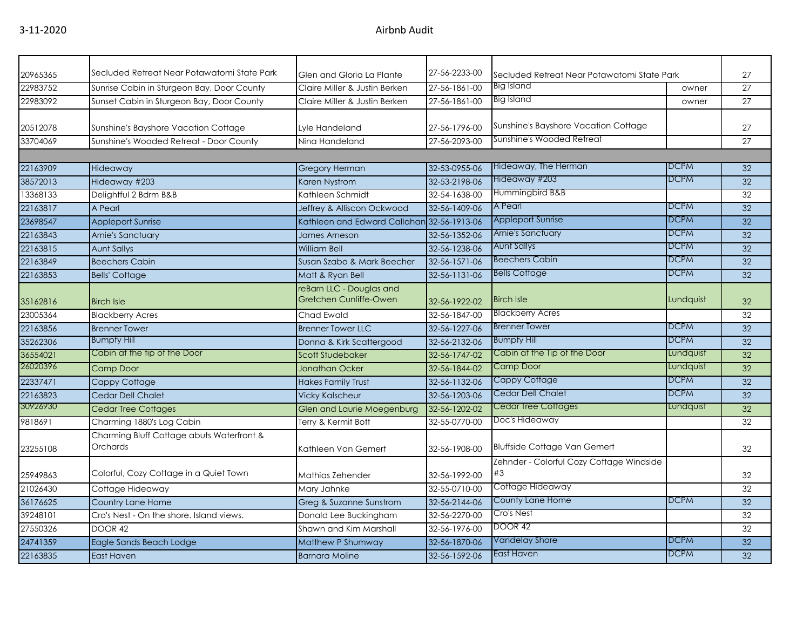| 20965365 | Secluded Retreat Near Potawatomi State Park           | Glen and Gloria La Plante                          | 27-56-2233-00 | Secluded Retreat Near Potawatomi State Park    |             | 27              |
|----------|-------------------------------------------------------|----------------------------------------------------|---------------|------------------------------------------------|-------------|-----------------|
| 22983752 | Sunrise Cabin in Sturgeon Bay, Door County            | Claire Miller & Justin Berken                      | 27-56-1861-00 | Big Island                                     | owner       | 27              |
| 22983092 | Sunset Cabin in Sturgeon Bay, Door County             | Claire Miller & Justin Berken                      | 27-56-1861-00 | <b>Big Island</b>                              | owner       | 27              |
| 20512078 | Sunshine's Bayshore Vacation Cottage                  | Lyle Handeland                                     | 27-56-1796-00 | Sunshine's Bayshore Vacation Cottage           |             | 27              |
| 33704069 | Sunshine's Wooded Retreat - Door County               | Nina Handeland                                     | 27-56-2093-00 | Sunshine's Wooded Retreat                      |             | 27              |
|          |                                                       |                                                    |               |                                                |             |                 |
| 22163909 | Hideaway                                              | <b>Gregory Herman</b>                              | 32-53-0955-06 | Hideaway, The Herman                           | DCPM        | 32 <sup>2</sup> |
| 38572013 | Hideaway #203                                         | <b>Karen Nystrom</b>                               | 32-53-2198-06 | Hideaway #203                                  | <b>DCPM</b> | 32 <sup>2</sup> |
| 13368133 | Delightful 2 Bdrm B&B                                 | Kathleen Schmidt                                   | 32-54-1638-00 | Hummingbird B&B                                |             | 32              |
| 22163817 | A Pearl                                               | Jeffrey & Alliscon Ockwood                         | 32-56-1409-06 | A Pearl                                        | <b>DCPM</b> | 32              |
| 23698547 | <b>Appleport Sunrise</b>                              | Kathleen and Edward Callahan 32-56-1913-06         |               | <b>Appleport Sunrise</b>                       | <b>DCPM</b> | 32              |
| 22163843 | Arnie's Sanctuary                                     | James Arneson                                      | 32-56-1352-06 | <b>Arnie's Sanctuary</b>                       | <b>DCPM</b> | 32              |
| 22163815 | <b>Aunt Sallys</b>                                    | <b>William Bell</b>                                | 32-56-1238-06 | <b>Aunt Sallys</b>                             | <b>DCPM</b> | 32              |
| 22163849 | <b>Beechers Cabin</b>                                 | Susan Szabo & Mark Beecher                         | 32-56-1571-06 | <b>Beechers Cabin</b>                          | <b>DCPM</b> | $\overline{32}$ |
| 22163853 | <b>Bells' Cottage</b>                                 | Matt & Ryan Bell                                   | 32-56-1131-06 | <b>Bells Cottage</b>                           | <b>DCPM</b> | 32              |
| 35162816 | <b>Birch Isle</b>                                     | reBarn LLC - Douglas and<br>Gretchen Cunliffe-Owen | 32-56-1922-02 | <b>Birch Isle</b>                              | Lundquist   | 32              |
| 23005364 | <b>Blackberry Acres</b>                               | Chad Ewald                                         | 32-56-1847-00 | <b>Blackberry Acres</b>                        |             | 32              |
| 22163856 | <b>Brenner Tower</b>                                  | <b>Brenner Tower LLC</b>                           | 32-56-1227-06 | <b>Brenner Tower</b>                           | <b>DCPM</b> | 32              |
| 35262306 | <b>Bumpfy Hill</b>                                    | Donna & Kirk Scattergood                           | 32-56-2132-06 | <b>Bumpfy Hill</b>                             | <b>DCPM</b> | 32              |
| 36554021 | Cabin at the tip of the Door                          | <b>Scott Studebaker</b>                            | 32-56-1747-02 | Cabin at the Tip of the Door                   | Lundquist   | 32              |
| 26020396 | <b>Camp Door</b>                                      | <b>Jonathan Ocker</b>                              | 32-56-1844-02 | <b>Camp Door</b>                               | Lundquist   | $\overline{32}$ |
| 22337471 | Cappy Cottage                                         | <b>Hakes Family Trust</b>                          | 32-56-1132-06 | Cappy Cottage                                  | <b>DCPM</b> | 32 <sup>2</sup> |
| 22163823 | <b>Cedar Dell Chalet</b>                              | <b>Vicky Kalscheur</b>                             | 32-56-1203-06 | <b>Cedar Dell Chalet</b>                       | <b>DCPM</b> | 32              |
| 30926930 | <b>Cedar Tree Cottages</b>                            | Glen and Laurie Moegenburg                         | 32-56-1202-02 | <b>Cedar Tree Cottages</b>                     | Lundquist   | 32              |
| 9818691  | Charming 1880's Log Cabin                             | Terry & Kermit Bott                                | 32-55-0770-00 | Doc's Hideaway                                 |             | 32              |
| 23255108 | Charming Bluff Cottage abuts Waterfront &<br>Orchards | Kathleen Van Gemert                                | 32-56-1908-00 | <b>Bluffside Cottage Van Gemert</b>            |             | 32              |
| 25949863 | Colorful, Cozy Cottage in a Quiet Town                | Mathias Zehender                                   | 32-56-1992-00 | Zehnder - Colorful Cozy Cottage Windside<br>#3 |             | 32              |
| 21026430 | Cottage Hideaway                                      | Mary Jahnke                                        | 32-55-0710-00 | Cottage Hideaway                               |             | 32              |
| 36176625 | Country Lane Home                                     | Greg & Suzanne Sunstrom                            | 32-56-2144-06 | County Lane Home                               | <b>DCPM</b> | 32              |
| 39248101 | Cro's Nest - On the shore, Island views.              | Donald Lee Buckingham                              | 32-56-2270-00 | Cro's Nest                                     |             | 32              |
| 27550326 | DOOR 42                                               | Shawn and Kim Marshall                             | 32-56-1976-00 | <b>DOOR 42</b>                                 |             | 32              |
| 24741359 | Eagle Sands Beach Lodge                               | Matthew P Shumway                                  | 32-56-1870-06 | Vandelay Shore                                 | <b>DCPM</b> | $\overline{32}$ |
| 22163835 | East Haven                                            | <b>Barnara Moline</b>                              | 32-56-1592-06 | East Haven                                     | <b>DCPM</b> | 32              |
|          |                                                       |                                                    |               |                                                |             |                 |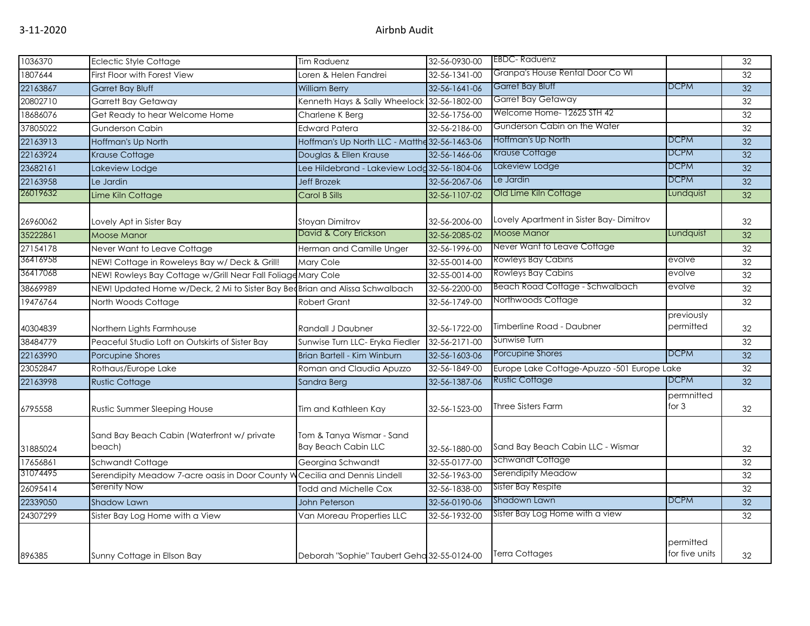| 1036370  | <b>Eclectic Style Cottage</b>                                                | <b>Tim Raduenz</b>                                      | 32-56-0930-00 | <b>EBDC-Raduenz</b>                         |                             | 32              |
|----------|------------------------------------------------------------------------------|---------------------------------------------------------|---------------|---------------------------------------------|-----------------------------|-----------------|
| 1807644  | First Floor with Forest View                                                 | oren & Helen Fandrei                                    | 32-56-1341-00 | Granpa's House Rental Door Co WI            |                             | 32              |
| 22163867 | <b>Garret Bay Bluff</b>                                                      | <b>William Berry</b>                                    | 32-56-1641-06 | Garret Bay Bluff                            | <b>DCPM</b>                 | 32              |
| 20802710 | <b>Garrett Bay Getaway</b>                                                   | Kenneth Hays & Sally Wheelock 32-56-1802-00             |               | Garret Bay Getaway                          |                             | 32              |
| 18686076 | Get Ready to hear Welcome Home                                               | Charlene K Berg                                         | 32-56-1756-00 | Welcome Home-12625 STH 42                   |                             | 32              |
| 37805022 | Gunderson Cabin                                                              | <b>Edward Patera</b>                                    | 32-56-2186-00 | Gunderson Cabin on the Water                |                             | 32              |
| 22163913 | Hoffman's Up North                                                           | Hoffman's Up North LLC - Matthe 32-56-1463-06           |               | Hoffman's Up North                          | <b>DCPM</b>                 | 32              |
| 22163924 | Krause Cottage                                                               | Douglas & Ellen Krause                                  | 32-56-1466-06 | <b>Krause Cottage</b>                       | <b>DCPM</b>                 | 32              |
| 23682161 | Lakeview Lodge                                                               | Lee Hildebrand - Lakeview Lodg 32-56-1804-06            |               | Lakeview Lodge                              | <b>DCPM</b>                 | 32              |
| 22163958 | Le Jardin                                                                    | <b>Jeff Brozek</b>                                      | 32-56-2067-06 | Le Jardin                                   | <b>DCPM</b>                 | 32              |
| 26019632 | Lime Kiln Cottage                                                            | Carol B Sills                                           | 32-56-1107-02 | Old Lime Kiln Cottage                       | Lundquist                   | 32              |
| 26960062 | Lovely Apt in Sister Bay                                                     | Stoyan Dimitrov                                         | 32-56-2006-00 | Lovely Apartment in Sister Bay-Dimitrov     |                             | 32              |
| 35222861 | <b>Moose Manor</b>                                                           | David & Cory Erickson                                   | 32-56-2085-02 | <b>Moose Manor</b>                          | Lundquist                   | 32              |
| 27154178 | Never Want to Leave Cottage                                                  | Herman and Camille Unger                                | 32-56-1996-00 | Never Want to Leave Cottage                 |                             | 32              |
| 36416958 | NEW! Cottage in Roweleys Bay w/ Deck & Grill!                                | Mary Cole                                               | 32-55-0014-00 | Rowleys Bay Cabins                          | evolve                      | 32              |
| 36417068 | NEW! Rowleys Bay Cottage w/Grill Near Fall Foliage Mary Cole                 |                                                         | 32-55-0014-00 | <b>Rowleys Bay Cabins</b>                   | evolve                      | 32              |
| 38669989 | NEW! Updated Home w/Deck, 2 Mi to Sister Bay Bed Brian and Alissa Schwalbach |                                                         | 32-56-2200-00 | Beach Road Cottage - Schwalbach             | evolve                      | 32              |
| 19476764 | North Woods Cottage                                                          | <b>Robert Grant</b>                                     | 32-56-1749-00 | Northwoods Cottage                          |                             | 32              |
| 40304839 | Northern Lights Farmhouse                                                    | Randall J Daubner                                       | 32-56-1722-00 | Timberline Road - Daubner                   | previously<br>permitted     | 32              |
| 38484779 | Peaceful Studio Loft on Outskirts of Sister Bay                              | Sunwise Turn LLC- Eryka Fiedler                         | 32-56-2171-00 | Sunwise Turn                                |                             | 32              |
| 22163990 | Porcupine Shores                                                             | Brian Bartell - Kim Winburn                             | 32-56-1603-06 | Porcupine Shores                            | <b>DCPM</b>                 | 32              |
| 23052847 | Rothaus/Europe Lake                                                          | Roman and Claudia Apuzzo                                | 32-56-1849-00 | Europe Lake Cottage-Apuzzo -501 Europe Lake |                             | $\overline{32}$ |
| 22163998 | <b>Rustic Cottage</b>                                                        | Sandra Berg                                             | 32-56-1387-06 | <b>Rustic Cottage</b>                       | <b>DCPM</b>                 | 32              |
| 6795558  | <b>Rustic Summer Sleeping House</b>                                          | Tim and Kathleen Kay                                    | 32-56-1523-00 | <b>Three Sisters Farm</b>                   | permnitted<br>for $3$       | 32              |
| 31885024 | Sand Bay Beach Cabin (Waterfront w/ private<br>beach)                        | Tom & Tanya Wismar - Sand<br><b>Bay Beach Cabin LLC</b> | 32-56-1880-00 | Sand Bay Beach Cabin LLC - Wismar           |                             | 32              |
| 17656861 | <b>Schwandt Cottage</b>                                                      | Georgina Schwandt                                       | 32-55-0177-00 | Schwandt Cottage                            |                             | 32              |
| 31074495 | Serendipity Meadow 7-acre oasis in Door County W Cecilia and Dennis Lindell  |                                                         | 32-56-1963-00 | Serendipity Meadow                          |                             | 32              |
| 26095414 | Serenity Now                                                                 | Todd and Michelle Cox                                   | 32-56-1838-00 | Sister Bay Respite                          |                             | 32              |
| 22339050 | Shadow Lawn                                                                  | <b>John Peterson</b>                                    | 32-56-0190-06 | Shadown Lawn                                | <b>DCPM</b>                 | 32              |
| 24307299 | Sister Bay Log Home with a View                                              | Van Moreau Properties LLC                               | 32-56-1932-00 | Sister Bay Log Home with a view             |                             | 32              |
| 896385   | Sunny Cottage in Ellson Bay                                                  | Deborah "Sophie" Taubert Geha 32-55-0124-00             |               | <b>Terra Cottages</b>                       | permitted<br>for five units | 32              |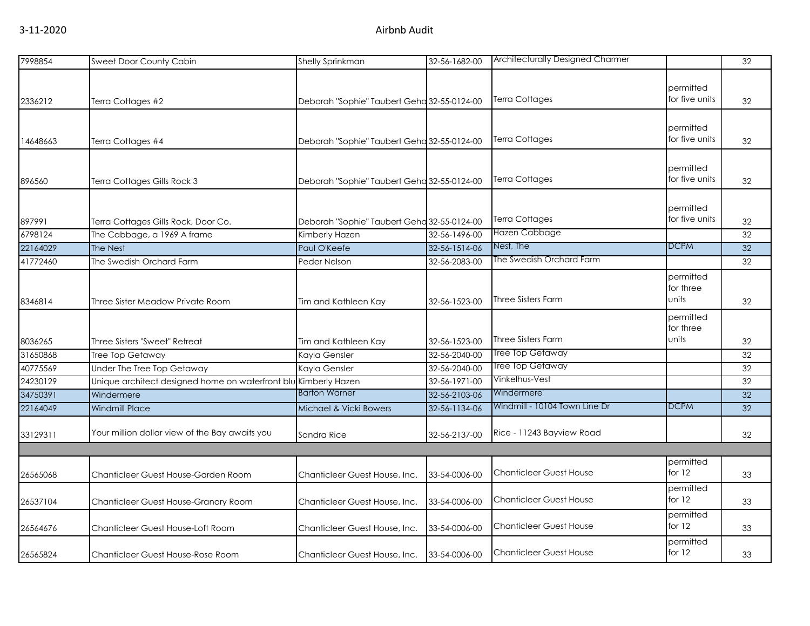| 7998854  | Sweet Door County Cabin                                         | Shelly Sprinkman                            | 32-56-1682-00 | <b>Architecturally Designed Charmer</b>     |                             | 32              |
|----------|-----------------------------------------------------------------|---------------------------------------------|---------------|---------------------------------------------|-----------------------------|-----------------|
|          |                                                                 |                                             |               |                                             |                             |                 |
|          |                                                                 |                                             |               |                                             | permitted                   |                 |
| 2336212  | Terra Cottages #2                                               | Deborah "Sophie" Taubert Geha 32-55-0124-00 |               | <b>Terra Cottages</b>                       | for five units              | 32              |
|          |                                                                 |                                             |               |                                             |                             |                 |
|          |                                                                 |                                             |               | Terra Cottages                              | permitted<br>for five units |                 |
| 14648663 | Terra Cottages #4                                               | Deborah "Sophie" Taubert Geha 32-55-0124-00 |               |                                             |                             | 32              |
|          |                                                                 |                                             |               |                                             | permitted                   |                 |
| 896560   | Terra Cottages Gills Rock 3                                     | Deborah "Sophie" Taubert Geha 32-55-0124-00 |               | Terra Cottages                              | for five units              | 32              |
|          |                                                                 |                                             |               |                                             |                             |                 |
|          |                                                                 |                                             |               |                                             | permitted                   |                 |
| 897991   | Terra Cottages Gills Rock, Door Co.                             | Deborah "Sophie" Taubert Geha 32-55-0124-00 |               | <b>Terra Cottages</b>                       | for five units              | 32              |
| 6798124  | The Cabbage, a 1969 A frame                                     | Kimberly Hazen                              | 32-56-1496-00 | Hazen Cabbage                               |                             | 32              |
| 22164029 | The Nest                                                        | Paul O'Keefe                                | 32-56-1514-06 | Nest, The                                   | <b>DCPM</b>                 | 32              |
| 41772460 | The Swedish Orchard Farm                                        | Peder Nelson                                | 32-56-2083-00 | The Swedish Orchard Farm                    |                             | 32              |
|          |                                                                 |                                             |               |                                             | permitted                   |                 |
|          |                                                                 |                                             |               |                                             | for three                   |                 |
| 8346814  | Three Sister Meadow Private Room                                | Tim and Kathleen Kay                        | 32-56-1523-00 | <b>Three Sisters Farm</b>                   | units                       | 32              |
|          |                                                                 |                                             |               |                                             | permitted                   |                 |
|          |                                                                 |                                             |               |                                             | for three                   |                 |
| 8036265  | Three Sisters "Sweet" Retreat                                   | Tim and Kathleen Kay                        | 32-56-1523-00 | <b>Three Sisters Farm</b>                   | units                       | 32              |
| 31650868 | Tree Top Getaway                                                | Kayla Gensler                               | 32-56-2040-00 | Tree Top Getaway                            |                             | 32              |
| 40775569 | Under The Tree Top Getaway                                      | Kayla Gensler                               | 32-56-2040-00 | Tree Top Getaway                            |                             | 32              |
| 24230129 | Unique architect designed home on waterfront blu Kimberly Hazen |                                             | 32-56-1971-00 | Vinkelhus-Vest                              |                             | 32              |
| 34750391 | Windermere                                                      | <b>Barton Warner</b>                        | 32-56-2103-06 | Windermere<br>Windmill - 10104 Town Line Dr | <b>DCPM</b>                 | $\overline{32}$ |
| 22164049 | <b>Windmill Place</b>                                           | Michael & Vicki Bowers                      | 32-56-1134-06 |                                             |                             | 32              |
| 33129311 | Your million dollar view of the Bay awaits you                  |                                             |               | Rice - 11243 Bayview Road                   |                             |                 |
|          |                                                                 | Sandra Rice                                 | 32-56-2137-00 |                                             |                             | 32              |
|          |                                                                 |                                             |               |                                             | permitted                   |                 |
| 26565068 | Chanticleer Guest House-Garden Room                             | Chanticleer Guest House, Inc.               | 33-54-0006-00 | <b>Chanticleer Guest House</b>              | for $12$                    | 33              |
|          |                                                                 |                                             |               |                                             | permitted                   |                 |
| 26537104 | Chanticleer Guest House-Granary Room                            | Chanticleer Guest House, Inc.               | 33-54-0006-00 | <b>Chanticleer Guest House</b>              | for $12$                    | 33              |
|          |                                                                 |                                             |               |                                             | permitted                   |                 |
| 26564676 | Chanticleer Guest House-Loft Room                               | Chanticleer Guest House, Inc.               | 33-54-0006-00 | <b>Chanticleer Guest House</b>              | for $12$                    | 33              |
|          |                                                                 |                                             |               |                                             | permitted                   |                 |
| 26565824 | Chanticleer Guest House-Rose Room                               | Chanticleer Guest House, Inc.               | 33-54-0006-00 | <b>Chanticleer Guest House</b>              | for 12                      | 33              |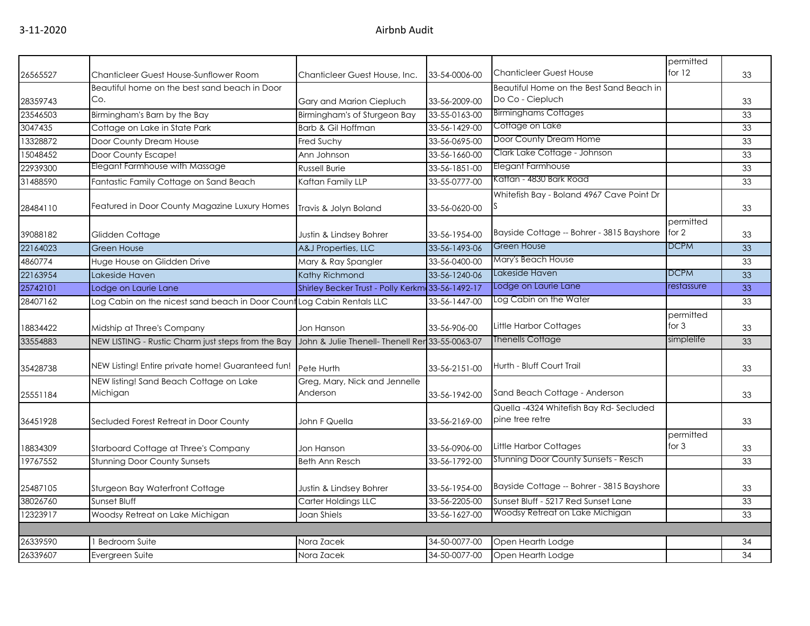|          |                                                                        |                                                  |               | <b>Chanticleer Guest House</b>                               | permitted<br>for $12$ |    |
|----------|------------------------------------------------------------------------|--------------------------------------------------|---------------|--------------------------------------------------------------|-----------------------|----|
| 26565527 | Chanticleer Guest House-Sunflower Room                                 | Chanticleer Guest House, Inc.                    | 33-54-0006-00 |                                                              |                       | 33 |
|          | Beautiful home on the best sand beach in Door<br>Co.                   |                                                  |               | Beautiful Home on the Best Sand Beach in<br>Do Co - Ciepluch |                       |    |
| 28359743 |                                                                        | Gary and Marion Ciepluch                         | 33-56-2009-00 | <b>Birminghams Cottages</b>                                  |                       | 33 |
| 23546503 | Birmingham's Barn by the Bay                                           | Birmingham's of Sturgeon Bay                     | 33-55-0163-00 | Cottage on Lake                                              |                       | 33 |
| 3047435  | Cottage on Lake in State Park                                          | Barb & Gil Hoffman                               | 33-56-1429-00 | Door County Dream Home                                       |                       | 33 |
| 13328872 | Door County Dream House                                                | Fred Suchy                                       | 33-56-0695-00 | Clark Lake Cottage - Johnson                                 |                       | 33 |
| 15048452 | Door County Escape!                                                    | Ann Johnson                                      | 33-56-1660-00 |                                                              |                       | 33 |
| 22939300 | Elegant Farmhouse with Massage                                         | <b>Russell Burie</b>                             | 33-56-1851-00 | Elegant Farmhouse                                            |                       | 33 |
| 31488590 | Fantastic Family Cottage on Sand Beach                                 | Kaftan Family LLP                                | 33-55-0777-00 | Kaftan - 4830 Bark Road                                      |                       | 33 |
| 28484110 | Featured in Door County Magazine Luxury Homes                          | Travis & Jolyn Boland                            | 33-56-0620-00 | Whitefish Bay - Boland 4967 Cave Point Dr                    |                       | 33 |
|          |                                                                        |                                                  |               |                                                              | permitted             |    |
| 39088182 | Glidden Cottage                                                        | Justin & Lindsey Bohrer                          | 33-56-1954-00 | Bayside Cottage -- Bohrer - 3815 Bayshore                    | for $2$               | 33 |
| 22164023 | <b>Green House</b>                                                     | A&J Properties, LLC                              | 33-56-1493-06 | <b>Green House</b>                                           | <b>DCPM</b>           | 33 |
| 4860774  | Huge House on Glidden Drive                                            | Mary & Ray Spangler                              | 33-56-0400-00 | Mary's Beach House                                           |                       | 33 |
| 22163954 | Lakeside Haven                                                         | Kathy Richmond                                   | 33-56-1240-06 | Lakeside Haven                                               | <b>DCPM</b>           | 33 |
| 25742101 | Lodge on Laurie Lane                                                   | Shirley Becker Trust - Polly Kerkm 33-56-1492-17 |               | Lodge on Laurie Lane                                         | restassure            | 33 |
| 28407162 | Log Cabin on the nicest sand beach in Door Count Log Cabin Rentals LLC |                                                  | 33-56-1447-00 | Log Cabin on the Water                                       |                       | 33 |
| 18834422 | Midship at Three's Company                                             | Jon Hanson                                       | 33-56-906-00  | Little Harbor Cottages                                       | permitted<br>for $3$  | 33 |
| 33554883 | NEW LISTING - Rustic Charm just steps from the Bay                     | John & Julie Thenell- Thenell Rer 33-55-0063-07  |               | <b>Thenells Cottage</b>                                      | simplelife            | 33 |
| 35428738 | NEW Listing! Entire private home! Guaranteed fun!                      | Pete Hurth                                       | 33-56-2151-00 | Hurth - Bluff Court Trail                                    |                       | 33 |
| 25551184 | NEW listing! Sand Beach Cottage on Lake<br>Michigan                    | Greg, Mary, Nick and Jennelle<br>Anderson        | 33-56-1942-00 | Sand Beach Cottage - Anderson                                |                       | 33 |
| 36451928 | Secluded Forest Retreat in Door County                                 | John F Quella                                    | 33-56-2169-00 | Quella -4324 Whitefish Bay Rd-Secluded<br>pine tree retre    |                       | 33 |
| 18834309 | Starboard Cottage at Three's Company                                   | Jon Hanson                                       | 33-56-0906-00 | Little Harbor Cottages                                       | permitted<br>for $3$  | 33 |
| 19767552 | <b>Stunning Door County Sunsets</b>                                    | <b>Beth Ann Resch</b>                            | 33-56-1792-00 | <b>Stunning Door County Sunsets - Resch</b>                  |                       | 33 |
| 25487105 | Sturgeon Bay Waterfront Cottage                                        | Justin & Lindsey Bohrer                          | 33-56-1954-00 | Bayside Cottage -- Bohrer - 3815 Bayshore                    |                       | 33 |
| 38026760 | Sunset Bluff                                                           | Carter Holdings LLC                              | 33-56-2205-00 | Sunset Bluff - 5217 Red Sunset Lane                          |                       | 33 |
| 12323917 | Woodsy Retreat on Lake Michigan                                        | Joan Shiels                                      | 33-56-1627-00 | Woodsy Retreat on Lake Michigan                              |                       | 33 |
|          |                                                                        |                                                  |               |                                                              |                       |    |
| 26339590 | <b>Bedroom Suite</b>                                                   | Nora Zacek                                       | 34-50-0077-00 | Open Hearth Lodge                                            |                       | 34 |
| 26339607 | Evergreen Suite                                                        | Nora Zacek                                       | 34-50-0077-00 | Open Hearth Lodge                                            |                       | 34 |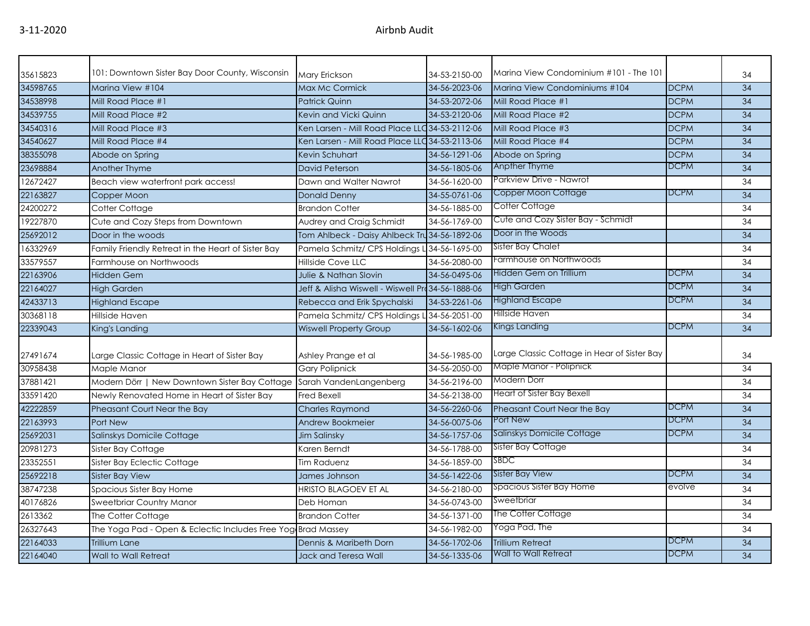| 35615823 | 101: Downtown Sister Bay Door County, Wisconsin              | <b>Mary Erickson</b>                              | 34-53-2150-00 | Marina View Condominium #101 - The 101      |             | 34 |
|----------|--------------------------------------------------------------|---------------------------------------------------|---------------|---------------------------------------------|-------------|----|
| 34598765 | Marina View #104                                             | <b>Max Mc Cormick</b>                             | 34-56-2023-06 | Marina View Condominiums #104               | <b>DCPM</b> | 34 |
| 34538998 | Mill Road Place #1                                           | <b>Patrick Quinn</b>                              | 34-53-2072-06 | Mill Road Place #1                          | <b>DCPM</b> | 34 |
| 34539755 | Mill Road Place #2                                           | Kevin and Vicki Quinn                             | 34-53-2120-06 | Mill Road Place #2                          | <b>DCPM</b> | 34 |
| 34540316 | Mill Road Place #3                                           | Ken Larsen - Mill Road Place LLC 34-53-2112-06    |               | Mill Road Place #3                          | <b>DCPM</b> | 34 |
| 34540627 | Mill Road Place #4                                           | Ken Larsen - Mill Road Place LLC 34-53-2113-06    |               | Mill Road Place #4                          | <b>DCPM</b> | 34 |
| 38355098 | Abode on Spring                                              | Kevin Schuhart                                    | 34-56-1291-06 | Abode on Spring                             | <b>DCPM</b> | 34 |
| 23698884 | Another Thyme                                                | <b>David Peterson</b>                             | 34-56-1805-06 | Anpther Thyme                               | <b>DCPM</b> | 34 |
| 12672427 | Beach view waterfront park access!                           | Dawn and Walter Nawrot                            | 34-56-1620-00 | Parkview Drive - Nawrot                     |             | 34 |
| 22163827 | Copper Moon                                                  | <b>Donald Denny</b>                               | 34-55-0761-06 | Copper Moon Cottage                         | <b>DCPM</b> | 34 |
| 24200272 | Cotter Cottage                                               | <b>Brandon Cotter</b>                             | 34-56-1885-00 | Cotter Cottage                              |             | 34 |
| 19227870 | Cute and Cozy Steps from Downtown                            | Audrey and Craig Schmidt                          | 34-56-1769-00 | Cute and Cozy Sister Bay - Schmidt          |             | 34 |
| 25692012 | Door in the woods                                            | Tom Ahlbeck - Daisy Ahlbeck Tru 34-56-1892-06     |               | Door in the Woods                           |             | 34 |
| 16332969 | Family Friendly Retreat in the Heart of Sister Bay           | Pamela Schmitz/ CPS Holdings L 34-56-1695-00      |               | Sister Bay Chalet                           |             | 34 |
| 33579557 | Farmhouse on Northwoods                                      | Hillside Cove LLC                                 | 34-56-2080-00 | Farmhouse on Northwoods                     |             | 34 |
| 22163906 | <b>Hidden Gem</b>                                            | <b>Julie &amp; Nathan Slovin</b>                  | 34-56-0495-06 | Hidden Gem on Trillium                      | <b>DCPM</b> | 34 |
| 22164027 | <b>High Garden</b>                                           | Jeff & Alisha Wiswell - Wiswell Pro 34-56-1888-06 |               | <b>High Garden</b>                          | <b>DCPM</b> | 34 |
| 42433713 | <b>Highland Escape</b>                                       | Rebecca and Erik Spychalski                       | 34-53-2261-06 | <b>Highland Escape</b>                      | <b>DCPM</b> | 34 |
| 30368118 | Hillside Haven                                               | Pamela Schmitz/ CPS Holdings L 34-56-2051-00      |               | Hillside Haven                              |             | 34 |
| 22339043 | King's Landing                                               | <b>Wiswell Property Group</b>                     | 34-56-1602-06 | Kings Landing                               | <b>DCPM</b> | 34 |
|          |                                                              |                                                   |               | Large Classic Cottage in Hear of Sister Bay |             |    |
| 27491674 | Large Classic Cottage in Heart of Sister Bay                 | Ashley Prange et al                               | 34-56-1985-00 |                                             |             | 34 |
| 30958438 | Maple Manor                                                  | <b>Gary Polipnick</b>                             | 34-56-2050-00 | Maple Manor - Polipnick                     |             | 34 |
| 37881421 | Modern Dörr   New Downtown Sister Bay Cottage                | Sarah VandenLangenberg                            | 34-56-2196-00 | Modern Dorr                                 |             | 34 |
| 33591420 | Newly Renovated Home in Heart of Sister Bay                  | <b>Fred Bexell</b>                                | 34-56-2138-00 | Heart of Sister Bay Bexell                  |             | 34 |
| 42222859 | Pheasant Court Near the Bay                                  | <b>Charles Raymond</b>                            | 34-56-2260-06 | Pheasant Court Near the Bay                 | <b>DCPM</b> | 34 |
| 22163993 | Port New                                                     | <b>Andrew Bookmeier</b>                           | 34-56-0075-06 | Port New                                    | <b>DCPM</b> | 34 |
| 25692031 | Salinskys Domicile Cottage                                   | Jim Salinsky                                      | 34-56-1757-06 | Salinskys Domicile Cottage                  | <b>DCPM</b> | 34 |
| 20981273 | Sister Bay Cottage                                           | Karen Berndt                                      | 34-56-1788-00 | Sister Bay Cottage                          |             | 34 |
| 23352551 | Sister Bay Eclectic Cottage                                  | <b>Tim Raduenz</b>                                | 34-56-1859-00 | SBDC                                        |             | 34 |
| 25692218 | Sister Bay View                                              | James Johnson                                     | 34-56-1422-06 | Sister Bay View                             | <b>DCPM</b> | 34 |
| 38747238 | Spacious Sister Bay Home                                     | <b>HRISTO BLAGOEV ET AL</b>                       | 34-56-2180-00 | Spacious Sister Bay Home                    | evolve      | 34 |
| 40176826 | Sweetbriar Country Manor                                     | Deb Homan                                         | 34-56-0743-00 | Sweetbriar                                  |             | 34 |
| 2613362  | The Cotter Cottage                                           | <b>Brandon Cotter</b>                             | 34-56-1371-00 | The Cotter Cottage                          |             | 34 |
| 26327643 | The Yoga Pad - Open & Eclectic Includes Free Yog Brad Massey |                                                   | 34-56-1982-00 | Yoga Pad, The                               |             | 34 |
| 22164033 | <b>Trillium Lane</b>                                         | Dennis & Maribeth Dorn                            | 34-56-1702-06 | <b>Trillium Retreat</b>                     | <b>DCPM</b> | 34 |
| 22164040 | Wall to Wall Retreat                                         | <b>Jack and Teresa Wall</b>                       | 34-56-1335-06 | Wall to Wall Retreat                        | <b>DCPM</b> | 34 |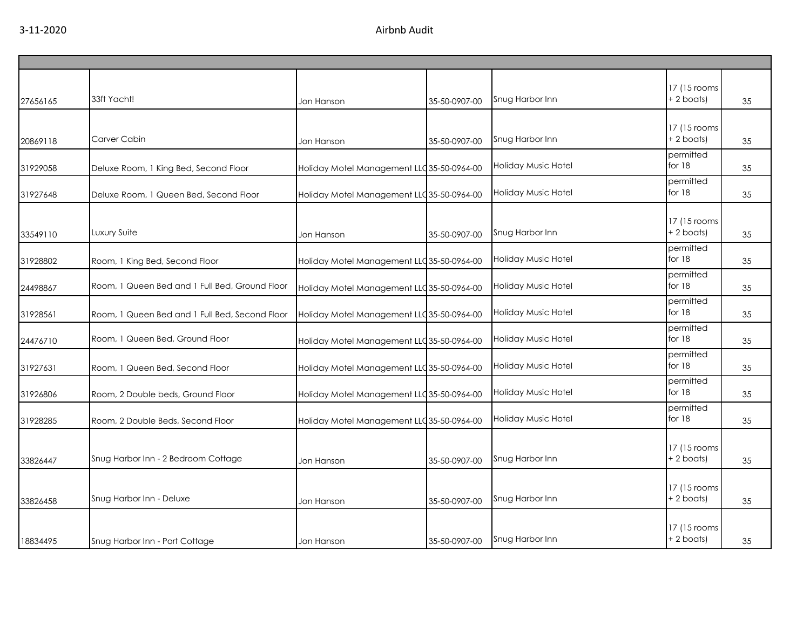| 27656165 | 33ft Yacht!                                    | Jon Hanson                                 | 35-50-0907-00 | Snug Harbor Inn            | 17 (15 rooms<br>$+ 2$ boats) | 35 |
|----------|------------------------------------------------|--------------------------------------------|---------------|----------------------------|------------------------------|----|
| 20869118 | Carver Cabin                                   | Jon Hanson                                 | 35-50-0907-00 | Snug Harbor Inn            | 17 (15 rooms<br>+ 2 boats)   | 35 |
| 31929058 | Deluxe Room, 1 King Bed, Second Floor          | Holiday Motel Management LLC 35-50-0964-00 |               | <b>Holiday Music Hotel</b> | permitted<br>for $18$        | 35 |
| 31927648 | Deluxe Room, 1 Queen Bed, Second Floor         | Holiday Motel Management LLC35-50-0964-00  |               | <b>Holiday Music Hotel</b> | permitted<br>for 18          | 35 |
| 33549110 | Luxury Suite                                   | Jon Hanson                                 | 35-50-0907-00 | Snug Harbor Inn            | 17 (15 rooms<br>$+ 2$ boats) | 35 |
| 31928802 | Room, 1 King Bed, Second Floor                 | Holiday Motel Management LLC 35-50-0964-00 |               | Holiday Music Hotel        | permitted<br>for 18          | 35 |
| 24498867 | Room, 1 Queen Bed and 1 Full Bed, Ground Floor | Holiday Motel Management LLC 35-50-0964-00 |               | Holiday Music Hotel        | permitted<br>for 18          | 35 |
| 31928561 | Room, 1 Queen Bed and 1 Full Bed, Second Floor | Holiday Motel Management LLC 35-50-0964-00 |               | Holiday Music Hotel        | permitted<br>for 18          | 35 |
| 24476710 | Room, 1 Queen Bed, Ground Floor                | Holiday Motel Management LLC 35-50-0964-00 |               | Holiday Music Hotel        | permitted<br>for $18$        | 35 |
| 31927631 | Room, 1 Queen Bed, Second Floor                | Holiday Motel Management LLC 35-50-0964-00 |               | Holiday Music Hotel        | permitted<br>for $18$        | 35 |
| 31926806 | Room, 2 Double beds, Ground Floor              | Holiday Motel Management LLC 35-50-0964-00 |               | Holiday Music Hotel        | permitted<br>for 18          | 35 |
| 31928285 | Room, 2 Double Beds, Second Floor              | Holiday Motel Management LLC35-50-0964-00  |               | <b>Holiday Music Hotel</b> | permitted<br>for 18          | 35 |
| 33826447 | Snug Harbor Inn - 2 Bedroom Cottage            | Jon Hanson                                 | 35-50-0907-00 | Snug Harbor Inn            | 17 (15 rooms<br>$+ 2$ boats) | 35 |
| 33826458 | Snug Harbor Inn - Deluxe                       | Jon Hanson                                 | 35-50-0907-00 | Snug Harbor Inn            | 17 (15 rooms<br>$+ 2$ boats) | 35 |
| 18834495 | Snug Harbor Inn - Port Cottage                 | Jon Hanson                                 | 35-50-0907-00 | Snug Harbor Inn            | 17 (15 rooms<br>+ 2 boats)   | 35 |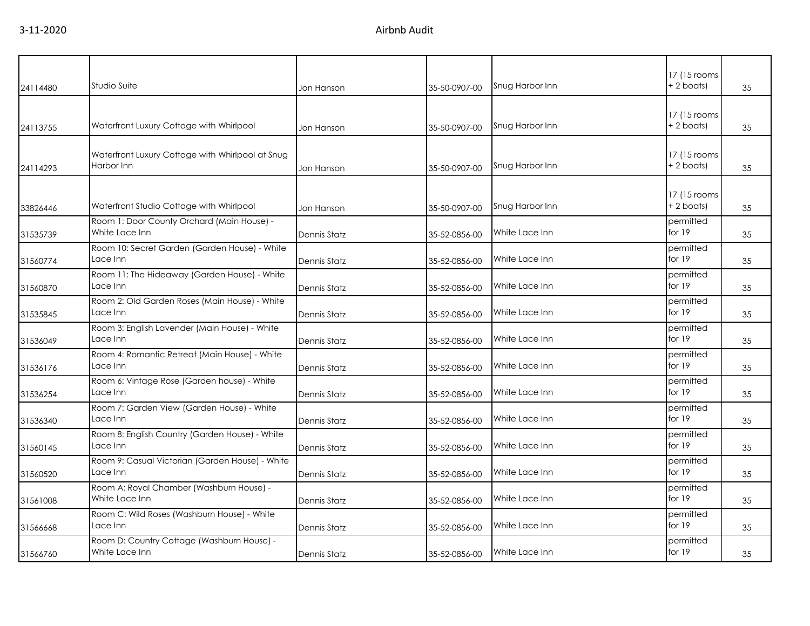| 24114480 | Studio Suite                                                   | Jon Hanson   | 35-50-0907-00 | Snug Harbor Inn | 17 (15 rooms)<br>+ 2 boats) | 35 |
|----------|----------------------------------------------------------------|--------------|---------------|-----------------|-----------------------------|----|
|          |                                                                |              |               |                 |                             |    |
| 24113755 | Waterfront Luxury Cottage with Whirlpool                       | Jon Hanson   | 35-50-0907-00 | Snug Harbor Inn | 17 (15 rooms)<br>+2 boats)  | 35 |
| 24114293 | Waterfront Luxury Cottage with Whirlpool at Snug<br>Harbor Inn | Jon Hanson   | 35-50-0907-00 | Snug Harbor Inn | 17 (15 rooms)<br>+ 2 boats) | 35 |
| 33826446 | Waterfront Studio Cottage with Whirlpool                       | Jon Hanson   | 35-50-0907-00 | Snug Harbor Inn | 17 (15 rooms)<br>+2 boats)  | 35 |
| 31535739 | Room 1: Door County Orchard (Main House) -<br>White Lace Inn   | Dennis Statz | 35-52-0856-00 | White Lace Inn  | permitted<br>for $19$       | 35 |
| 31560774 | Room 10: Secret Garden (Garden House) - White<br>Lace Inn      | Dennis Statz | 35-52-0856-00 | White Lace Inn  | permitted<br>for $19$       | 35 |
| 31560870 | Room 11: The Hideaway (Garden House) - White<br>Lace Inn       | Dennis Statz | 35-52-0856-00 | White Lace Inn  | permitted<br>for 19         | 35 |
| 31535845 | Room 2: Old Garden Roses (Main House) - White<br>Lace Inn      | Dennis Statz | 35-52-0856-00 | White Lace Inn  | permitted<br>for 19         | 35 |
| 31536049 | Room 3: English Lavender (Main House) - White<br>Lace Inn      | Dennis Statz | 35-52-0856-00 | White Lace Inn  | permitted<br>for 19         | 35 |
| 31536176 | Room 4: Romantic Retreat (Main House) - White<br>ace Inn       | Dennis Statz | 35-52-0856-00 | White Lace Inn  | permitted<br>for 19         | 35 |
| 31536254 | Room 6: Vintage Rose (Garden house) - White<br>Lace Inn        | Dennis Statz | 35-52-0856-00 | White Lace Inn  | permitted<br>for 19         | 35 |
| 31536340 | Room 7: Garden View (Garden House) - White<br>Lace Inn         | Dennis Statz | 35-52-0856-00 | White Lace Inn  | permitted<br>for $19$       | 35 |
| 31560145 | Room 8: English Country (Garden House) - White<br>Lace Inn     | Dennis Statz | 35-52-0856-00 | White Lace Inn  | permitted<br>for $19$       | 35 |
| 31560520 | Room 9: Casual Victorian (Garden House) - White<br>Lace Inn    | Dennis Statz | 35-52-0856-00 | White Lace Inn  | permitted<br>for $19$       | 35 |
| 31561008 | Room A: Royal Chamber (Washburn House) -<br>White Lace Inn     | Dennis Statz | 35-52-0856-00 | White Lace Inn  | permitted<br>for $19$       | 35 |
| 31566668 | Room C: Wild Roses (Washburn House) - White<br>Lace Inn        | Dennis Statz | 35-52-0856-00 | White Lace Inn  | permitted<br>for 19         | 35 |
| 31566760 | Room D: Country Cottage (Washburn House) -<br>White Lace Inn   | Dennis Statz | 35-52-0856-00 | White Lace Inn  | permitted<br>for $19$       | 35 |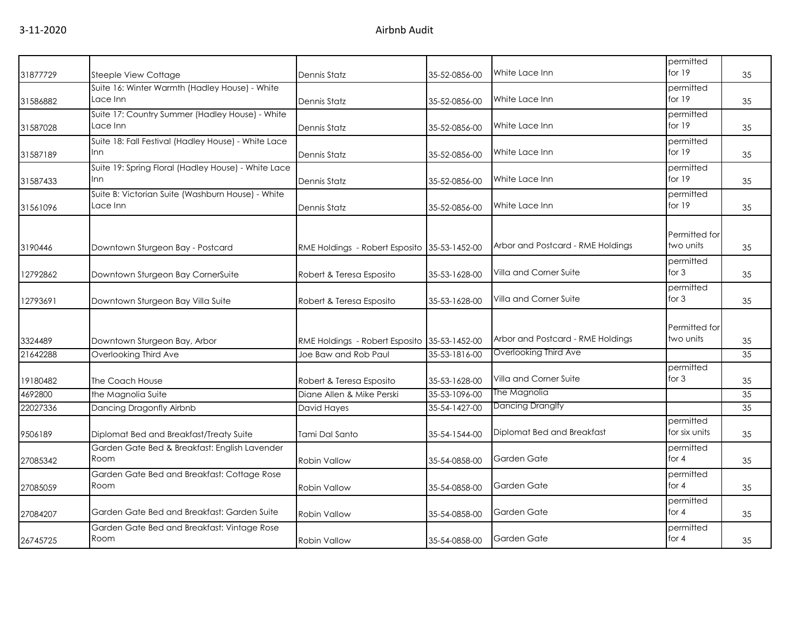|          |                                                     |                                |               |                                   | permitted                  |    |
|----------|-----------------------------------------------------|--------------------------------|---------------|-----------------------------------|----------------------------|----|
| 31877729 | Steeple View Cottage                                | Dennis Statz                   | 35-52-0856-00 | White Lace Inn                    | for 19                     | 35 |
|          | Suite 16: Winter Warmth (Hadley House) - White      |                                |               |                                   | permitted                  |    |
| 31586882 | Lace Inn                                            | Dennis Statz                   | 35-52-0856-00 | White Lace Inn                    | for 19                     | 35 |
|          | Suite 17: Country Summer (Hadley House) - White     |                                |               |                                   | permitted                  |    |
| 31587028 | Lace Inn                                            | Dennis Statz                   | 35-52-0856-00 | White Lace Inn                    | for 19                     | 35 |
|          | Suite 18: Fall Festival (Hadley House) - White Lace |                                |               |                                   | permitted                  |    |
| 31587189 | Inn                                                 | Dennis Statz                   | 35-52-0856-00 | White Lace Inn                    | for 19                     | 35 |
|          | Suite 19: Spring Floral (Hadley House) - White Lace |                                |               |                                   | permitted                  |    |
| 31587433 | <b>Inn</b>                                          | Dennis Statz                   | 35-52-0856-00 | White Lace Inn                    | for 19                     | 35 |
|          | Suite B: Victorian Suite (Washburn House) - White   |                                |               |                                   | permitted                  |    |
| 31561096 | Lace Inn                                            | Dennis Statz                   | 35-52-0856-00 | White Lace Inn                    | for 19                     | 35 |
|          |                                                     |                                |               |                                   |                            |    |
|          |                                                     |                                |               |                                   | Permitted for<br>two units |    |
| 3190446  | Downtown Sturgeon Bay - Postcard                    | RME Holdings - Robert Esposito | 35-53-1452-00 | Arbor and Postcard - RME Holdings |                            | 35 |
|          |                                                     |                                |               | Villa and Corner Suite            | permitted<br>for $3$       |    |
| 12792862 | Downtown Sturgeon Bay CornerSuite                   | Robert & Teresa Esposito       | 35-53-1628-00 |                                   |                            | 35 |
|          |                                                     |                                |               | Villa and Corner Suite            | permitted<br>for $3$       |    |
| 12793691 | Downtown Sturgeon Bay Villa Suite                   | Robert & Teresa Esposito       | 35-53-1628-00 |                                   |                            | 35 |
|          |                                                     |                                |               |                                   | Permitted for              |    |
| 3324489  | Downtown Sturgeon Bay, Arbor                        | RME Holdings - Robert Esposito | 35-53-1452-00 | Arbor and Postcard - RME Holdings | two units                  | 35 |
| 21642288 | Overlooking Third Ave                               | Joe Baw and Rob Paul           | 35-53-1816-00 | Overlooking Third Ave             |                            | 35 |
|          |                                                     |                                |               |                                   | permitted                  |    |
| 19180482 | The Coach House                                     | Robert & Teresa Esposito       | 35-53-1628-00 | Villa and Corner Suite            | for $3$                    | 35 |
| 4692800  | the Magnolia Suite                                  | Diane Allen & Mike Perski      | 35-53-1096-00 | The Magnolia                      |                            | 35 |
| 22027336 | Dancing Dragonfly Airbnb                            | David Hayes                    | 35-54-1427-00 | Dancing Dranglfy                  |                            | 35 |
|          |                                                     |                                |               |                                   | permitted                  |    |
| 9506189  | Diplomat Bed and Breakfast/Treaty Suite             | Tami Dal Santo                 | 35-54-1544-00 | Diplomat Bed and Breakfast        | for six units              | 35 |
|          | Garden Gate Bed & Breakfast: English Lavender       |                                |               |                                   | permitted                  |    |
| 27085342 | Room                                                | <b>Robin Vallow</b>            | 35-54-0858-00 | Garden Gate                       | for $4$                    | 35 |
|          | Garden Gate Bed and Breakfast: Cottage Rose         |                                |               |                                   | permitted                  |    |
| 27085059 | Room                                                | <b>Robin Vallow</b>            | 35-54-0858-00 | Garden Gate                       | for $4$                    | 35 |
|          |                                                     |                                |               |                                   | permitted                  |    |
| 27084207 | Garden Gate Bed and Breakfast: Garden Suite         | <b>Robin Vallow</b>            | 35-54-0858-00 | Garden Gate                       | for $4$                    | 35 |
|          | Garden Gate Bed and Breakfast: Vintage Rose         |                                |               |                                   | permitted                  |    |
| 26745725 | Room                                                | <b>Robin Vallow</b>            | 35-54-0858-00 | Garden Gate                       | for $4$                    | 35 |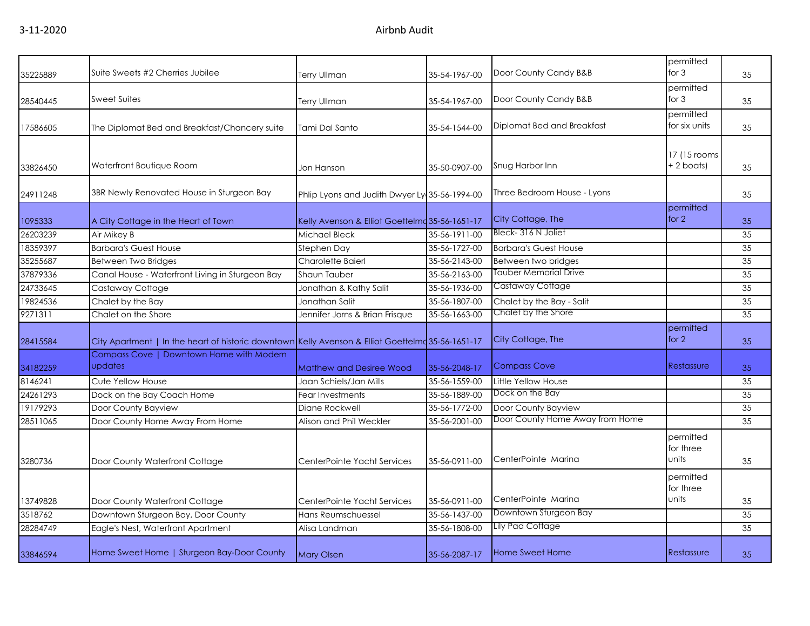|          | Suite Sweets #2 Cherries Jubilee                                                                  |                                                |               |                                 | permitted<br>for $3$            |    |
|----------|---------------------------------------------------------------------------------------------------|------------------------------------------------|---------------|---------------------------------|---------------------------------|----|
| 35225889 |                                                                                                   | Terry Ullman                                   | 35-54-1967-00 | Door County Candy B&B           |                                 | 35 |
| 28540445 | Sweet Suites                                                                                      | Terry Ullman                                   | 35-54-1967-00 | Door County Candy B&B           | permitted<br>for $3$            | 35 |
| 17586605 | The Diplomat Bed and Breakfast/Chancery suite                                                     | Tami Dal Santo                                 | 35-54-1544-00 | Diplomat Bed and Breakfast      | permitted<br>for six units      | 35 |
| 33826450 | Waterfront Boutique Room                                                                          | Jon Hanson                                     | 35-50-0907-00 | Snug Harbor Inn                 | 17 (15 rooms)<br>+ 2 boats)     | 35 |
| 24911248 | 3BR Newly Renovated House in Sturgeon Bay                                                         | Phlip Lyons and Judith Dwyer Ly 35-56-1994-00  |               | Three Bedroom House - Lyons     |                                 | 35 |
| 1095333  | A City Cottage in the Heart of Town                                                               | Kelly Avenson & Elliot Goettelmd 35-56-1651-17 |               | City Cottage, The               | permitted<br>for $2$            | 35 |
| 26203239 | Air Mikey B                                                                                       | Michael Bleck                                  | 35-56-1911-00 | Bleck-316 N Joliet              |                                 | 35 |
| 18359397 | <b>Barbara's Guest House</b>                                                                      | Stephen Day                                    | 35-56-1727-00 | <b>Barbara's Guest House</b>    |                                 | 35 |
| 35255687 | Between Two Bridges                                                                               | <b>Charolette Baierl</b>                       | 35-56-2143-00 | Between two bridges             |                                 | 35 |
| 37879336 | Canal House - Waterfront Living in Sturgeon Bay                                                   | Shaun Tauber                                   | 35-56-2163-00 | <b>Tauber Memorial Drive</b>    |                                 | 35 |
| 24733645 | Castaway Cottage                                                                                  | Jonathan & Kathy Salit                         | 35-56-1936-00 | Castaway Cottage                |                                 | 35 |
| 19824536 | Chalet by the Bay                                                                                 | Jonathan Salit                                 | 35-56-1807-00 | Chalet by the Bay - Salit       |                                 | 35 |
| 9271311  | Chalet on the Shore                                                                               | Jennifer Jorns & Brian Frisque                 | 35-56-1663-00 | Chalet by the Shore             |                                 | 35 |
| 28415584 | City Apartment   In the heart of historic downtown Kelly Avenson & Elliot Goettelmd 35-56-1651-17 |                                                |               | City Cottage, The               | permitted<br>for $2$            | 35 |
| 34182259 | Compass Cove   Downtown Home with Modern<br>updates                                               | Matthew and Desiree Wood                       | 35-56-2048-17 | <b>Compass Cove</b>             | Restassure                      | 35 |
| 8146241  | Cute Yellow House                                                                                 | Joan Schiels/Jan Mills                         | 35-56-1559-00 | Little Yellow House             |                                 | 35 |
| 24261293 | Dock on the Bay Coach Home                                                                        | Fear Investments                               | 35-56-1889-00 | Dock on the Bay                 |                                 | 35 |
| 19179293 | Door County Bayview                                                                               | Diane Rockwell                                 | 35-56-1772-00 | Door County Bayview             |                                 | 35 |
| 28511065 | Door County Home Away From Home                                                                   | Alison and Phil Weckler                        | 35-56-2001-00 | Door County Home Away from Home |                                 | 35 |
| 3280736  | Door County Waterfront Cottage                                                                    | CenterPointe Yacht Services                    | 35-56-0911-00 | CenterPointe Marina             | permitted<br>for three<br>units | 35 |
| 13749828 | Door County Waterfront Cottage                                                                    | CenterPointe Yacht Services                    | 35-56-0911-00 | CenterPointe Marina             | permitted<br>for three<br>units | 35 |
| 3518762  | Downtown Sturgeon Bay, Door County                                                                | Hans Reumschuessel                             | 35-56-1437-00 | Downtown Sturgeon Bay           |                                 | 35 |
| 28284749 | Eagle's Nest, Waterfront Apartment                                                                | Alisa Landman                                  | 35-56-1808-00 | Lily Pad Cottage                |                                 | 35 |
| 33846594 | Home Sweet Home   Sturgeon Bay-Door County                                                        | <b>Mary Olsen</b>                              | 35-56-2087-17 | Home Sweet Home                 | Restassure                      | 35 |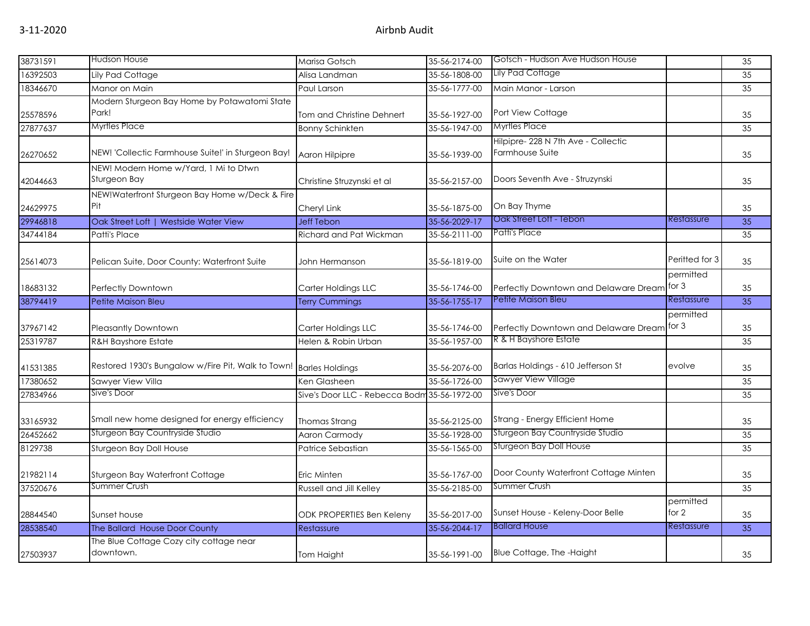| 38731591 | <b>Hudson House</b>                                                | Marisa Gotsch                                | 35-56-2174-00 | Gotsch - Hudson Ave Hudson House                      |                      | $\overline{35}$ |
|----------|--------------------------------------------------------------------|----------------------------------------------|---------------|-------------------------------------------------------|----------------------|-----------------|
| 16392503 | Lily Pad Cottage                                                   | Alisa Landman                                | 35-56-1808-00 | Lily Pad Cottage                                      |                      | 35              |
| 18346670 | Manor on Main                                                      | Paul Larson                                  | 35-56-1777-00 | Main Manor - Larson                                   |                      | 35              |
| 25578596 | Modern Sturgeon Bay Home by Potawatomi State<br>Park!              | Tom and Christine Dehnert                    | 35-56-1927-00 | Port View Cottage                                     |                      | 35              |
| 27877637 | <b>Myrtles Place</b>                                               | <b>Bonny Schinkten</b>                       | 35-56-1947-00 | <b>Myrtles Place</b>                                  |                      | 35              |
| 26270652 | NEW! 'Collectic Farmhouse Suite!' in Sturgeon Bay!                 | Aaron Hilpipre                               | 35-56-1939-00 | Hilpipre-228 N 7th Ave - Collectic<br>Farmhouse Suite |                      | 35              |
| 42044663 | NEW! Modern Home w/Yard, 1 Mi to Dtwn<br>Sturgeon Bay              | Christine Struzynski et al                   | 35-56-2157-00 | Doors Seventh Ave - Struzynski                        |                      | 35              |
| 24629975 | NEW!Waterfront Sturgeon Bay Home w/Deck & Fire<br>Pit              | Cheryl Link                                  | 35-56-1875-00 | On Bay Thyme                                          |                      | 35              |
| 29946818 | Oak Street Loft   Westside Water View                              | <b>Jeff Tebon</b>                            | 35-56-2029-17 | Oak Street Loft - Tebon                               | Restassure           | $\overline{35}$ |
| 34744184 | Patti's Place                                                      | Richard and Pat Wickman                      | 35-56-2111-00 | Patti's Place                                         |                      | 35              |
| 25614073 | Pelican Suite, Door County: Waterfront Suite                       | John Hermanson                               | 35-56-1819-00 | Suite on the Water                                    | Peritted for 3       | 35              |
| 18683132 | Perfectly Downtown                                                 | Carter Holdings LLC                          | 35-56-1746-00 | Perfectly Downtown and Delaware Dream                 | permitted<br>for $3$ | 35              |
| 38794419 | Petite Maison Bleu                                                 | <b>Terry Cummings</b>                        | 35-56-1755-17 | Petite Maison Bleu                                    | Restassure           | 35              |
| 37967142 | <b>Pleasantly Downtown</b>                                         | Carter Holdings LLC                          | 35-56-1746-00 | Perfectly Downtown and Delaware Dream                 | permitted<br>for $3$ | 35              |
| 25319787 | <b>R&amp;H Bayshore Estate</b>                                     | Helen & Robin Urban                          | 35-56-1957-00 | R & H Bayshore Estate                                 |                      | 35              |
| 41531385 | Restored 1930's Bungalow w/Fire Pit, Walk to Town! Barles Holdings |                                              | 35-56-2076-00 | Barlas Holdings - 610 Jefferson St                    | evolve               | 35              |
| 17380652 | Sawyer View Villa                                                  | Ken Glasheen                                 | 35-56-1726-00 | Sawyer View Village                                   |                      | 35              |
| 27834966 | Sive's Door                                                        | Sive's Door LLC - Rebecca Bodm 35-56-1972-00 |               | Sive's Door                                           |                      | 35              |
| 33165932 | Small new home designed for energy efficiency                      | Thomas Strang                                | 35-56-2125-00 | Strang - Energy Efficient Home                        |                      | 35              |
| 26452662 | Sturgeon Bay Countryside Studio                                    | <b>Aaron Carmody</b>                         | 35-56-1928-00 | Sturgeon Bay Countryside Studio                       |                      | 35              |
| 8129738  | Sturgeon Bay Doll House                                            | Patrice Sebastian                            | 35-56-1565-00 | Sturgeon Bay Doll House                               |                      | 35              |
| 21982114 | Sturgeon Bay Waterfront Cottage                                    | Eric Minten                                  | 35-56-1767-00 | Door County Waterfront Cottage Minten                 |                      | 35              |
| 37520676 | Summer Crush                                                       | Russell and Jill Kelley                      | 35-56-2185-00 | Summer Crush                                          |                      | 35              |
| 28844540 | Sunset house                                                       | <b>ODK PROPERTIES Ben Keleny</b>             | 35-56-2017-00 | Sunset House - Keleny-Door Belle                      | permitted<br>for 2   | 35              |
| 28538540 | The Ballard House Door County                                      | Restassure                                   | 35-56-2044-17 | <b>Ballard House</b>                                  | Restassure           | $\overline{35}$ |
| 27503937 | The Blue Cottage Cozy city cottage near<br>downtown.               | Tom Haight                                   | 35-56-1991-00 | Blue Cottage, The -Haight                             |                      | 35              |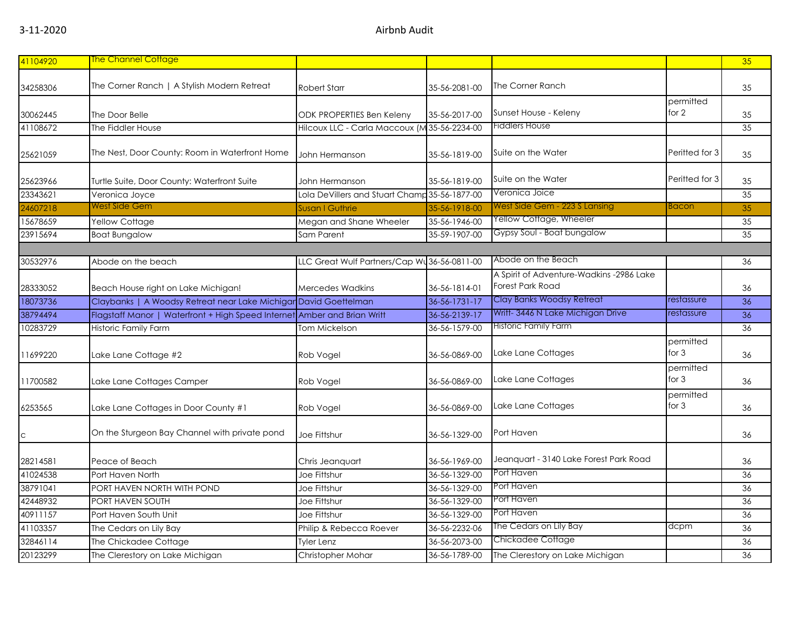| 41104920 | <b>The Channel Cottage</b>                                               |                                               |               |                                                                     |                      | 35 |
|----------|--------------------------------------------------------------------------|-----------------------------------------------|---------------|---------------------------------------------------------------------|----------------------|----|
| 34258306 | The Corner Ranch   A Stylish Modern Retreat                              | Robert Starr                                  | 35-56-2081-00 | The Corner Ranch                                                    |                      | 35 |
| 30062445 | The Door Belle                                                           | ODK PROPERTIES Ben Keleny                     | 35-56-2017-00 | Sunset House - Keleny                                               | permitted<br>for 2   | 35 |
| 41108672 | The Fiddler House                                                        | Hilcoux LLC - Carla Maccoux (M 35-56-2234-00  |               | Fiddlers House                                                      |                      | 35 |
| 25621059 | The Nest, Door County: Room in Waterfront Home                           | John Hermanson                                | 35-56-1819-00 | Suite on the Water                                                  | Peritted for 3       | 35 |
| 25623966 | Turtle Suite, Door County: Waterfront Suite                              | John Hermanson                                | 35-56-1819-00 | Suite on the Water                                                  | Peritted for 3       | 35 |
| 23343621 | Veronica Joyce                                                           | Lola DeVillers and Stuart Champ 35-56-1877-00 |               | Veronica Joice                                                      |                      | 35 |
| 24607218 | West Side Gem                                                            | <b>Susan I Guthrie</b>                        | 35-56-1918-00 | West Side Gem - 223 S Lansing                                       | Bacon                | 35 |
| 15678659 | Yellow Cottage                                                           | Megan and Shane Wheeler                       | 35-56-1946-00 | Yellow Cottage, Wheeler                                             |                      | 35 |
| 23915694 | <b>Boat Bungalow</b>                                                     | Sam Parent                                    | 35-59-1907-00 | Gypsy Soul - Boat bungalow                                          |                      | 35 |
|          |                                                                          |                                               |               |                                                                     |                      |    |
| 30532976 | Abode on the beach                                                       | LLC Great Wulf Partners/Cap Wu 36-56-0811-00  |               | Abode on the Beach                                                  |                      | 36 |
| 28333052 | Beach House right on Lake Michigan!                                      | Mercedes Wadkins                              | 36-56-1814-01 | A Spirit of Adventure-Wadkins -2986 Lake<br><b>Forest Park Road</b> |                      | 36 |
| 18073736 | Claybanks   A Woodsy Retreat near Lake Michigar David Goettelman         |                                               | 36-56-1731-17 | Clay Banks Woodsy Retreat                                           | restassure           | 36 |
| 38794494 | Flagstaff Manor   Waterfront + High Speed Internet Amber and Brian Writt |                                               | 36-56-2139-17 | Writt- 3446 N Lake Michigan Drive                                   | restassure           | 36 |
| 10283729 | <b>Historic Family Farm</b>                                              | Tom Mickelson                                 | 36-56-1579-00 | <b>Historic Family Farm</b>                                         |                      | 36 |
| 11699220 | Lake Lane Cottage #2                                                     | Rob Vogel                                     | 36-56-0869-00 | Lake Lane Cottages                                                  | permitted<br>for $3$ | 36 |
| 11700582 | Lake Lane Cottages Camper                                                | Rob Vogel                                     | 36-56-0869-00 | Lake Lane Cottages                                                  | permitted<br>for $3$ | 36 |
| 6253565  | Lake Lane Cottages in Door County #1                                     | Rob Vogel                                     | 36-56-0869-00 | Lake Lane Cottages                                                  | permitted<br>for 3   | 36 |
| C        | On the Sturgeon Bay Channel with private pond                            | Joe Fittshur                                  | 36-56-1329-00 | Port Haven                                                          |                      | 36 |
| 28214581 | Peace of Beach                                                           | Chris Jeanquart                               | 36-56-1969-00 | Jeanquart - 3140 Lake Forest Park Road                              |                      | 36 |
| 41024538 | Port Haven North                                                         | Joe Fittshur                                  | 36-56-1329-00 | Port Haven                                                          |                      | 36 |
| 38791041 | PORT HAVEN NORTH WITH POND                                               | Joe Fittshur                                  | 36-56-1329-00 | Port Haven                                                          |                      | 36 |
| 42448932 | PORT HAVEN SOUTH                                                         | Joe Fittshur                                  | 36-56-1329-00 | Port Haven                                                          |                      | 36 |
| 40911157 | Port Haven South Unit                                                    | Joe Fittshur                                  | 36-56-1329-00 | Port Haven                                                          |                      | 36 |
| 41103357 | The Cedars on Lily Bay                                                   | Philip & Rebecca Roever                       | 36-56-2232-06 | The Cedars on Lily Bay                                              | dcpm                 | 36 |
| 32846114 | The Chickadee Cottage                                                    | <b>Tyler Lenz</b>                             | 36-56-2073-00 | Chickadee Cottage                                                   |                      | 36 |
| 20123299 | The Clerestory on Lake Michigan                                          | Christopher Mohar                             | 36-56-1789-00 | The Clerestory on Lake Michigan                                     |                      | 36 |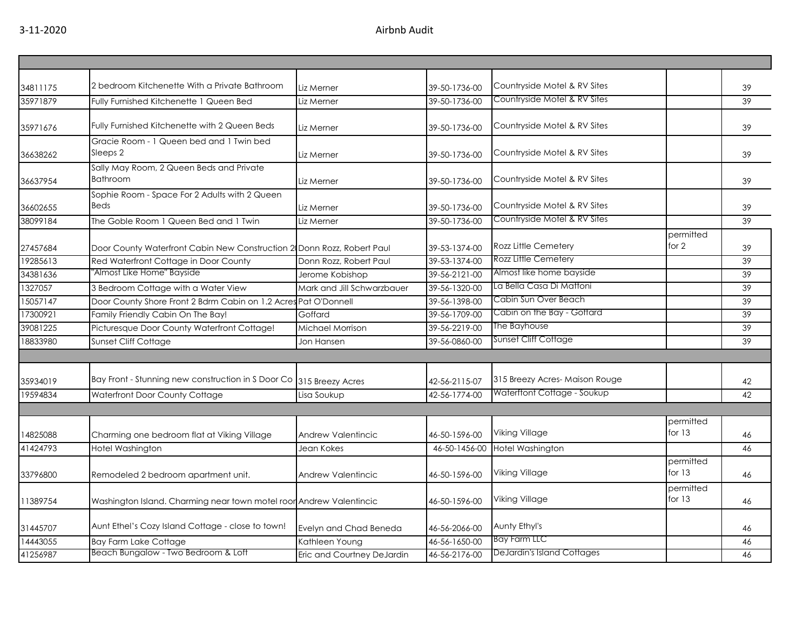| 34811175 | 2 bedroom Kitchenette With a Private Bathroom                          | Liz Merner                 | 39-50-1736-00 | Countryside Motel & RV Sites  |                       | 39 |
|----------|------------------------------------------------------------------------|----------------------------|---------------|-------------------------------|-----------------------|----|
| 35971879 | Fully Furnished Kitchenette 1 Queen Bed                                | Liz Merner                 | 39-50-1736-00 | Countryside Motel & RV Sites  |                       | 39 |
| 35971676 | Fully Furnished Kitchenette with 2 Queen Beds                          | Liz Merner                 | 39-50-1736-00 | Countryside Motel & RV Sites  |                       | 39 |
| 36638262 | Gracie Room - 1 Queen bed and 1 Twin bed<br>Sleeps 2                   | Liz Merner                 | 39-50-1736-00 | Countryside Motel & RV Sites  |                       | 39 |
| 36637954 | Sally May Room, 2 Queen Beds and Private<br>Bathroom                   | Liz Merner                 | 39-50-1736-00 | Countryside Motel & RV Sites  |                       | 39 |
|          | Sophie Room - Space For 2 Adults with 2 Queen                          |                            |               |                               |                       |    |
| 36602655 | Beds                                                                   | Liz Merner                 | 39-50-1736-00 | Countryside Motel & RV Sites  |                       | 39 |
| 38099184 | The Goble Room 1 Queen Bed and 1 Twin                                  | Liz Merner                 | 39-50-1736-00 | Countryside Motel & RV Sites  |                       | 39 |
| 27457684 | Door County Waterfront Cabin New Construction 2 Donn Rozz, Robert Paul |                            | 39-53-1374-00 | <b>Rozz Little Cemetery</b>   | permitted<br>for 2    | 39 |
| 19285613 | Red Waterfront Cottage in Door County                                  | Donn Rozz, Robert Paul     | 39-53-1374-00 | Rozz Little Cemetery          |                       | 39 |
| 34381636 | "Almost Like Home" Bayside                                             | Jerome Kobishop            | 39-56-2121-00 | Almost like home bayside      |                       | 39 |
| 1327057  | 3 Bedroom Cottage with a Water View                                    | Mark and Jill Schwarzbauer | 39-56-1320-00 | La Bella Casa Di Mattoni      |                       | 39 |
| 15057147 | Door County Shore Front 2 Bdrm Cabin on 1.2 Acres Pat O'Donnell        |                            | 39-56-1398-00 | Cabin Sun Over Beach          |                       | 39 |
| 17300921 | Family Friendly Cabin On The Bay!                                      | Goffard                    | 39-56-1709-00 | Cabin on the Bay - Goffard    |                       | 39 |
| 39081225 | Picturesque Door County Waterfront Cottage!                            | Michael Morrison           | 39-56-2219-00 | The Bayhouse                  |                       | 39 |
| 18833980 | Sunset Cliff Cottage                                                   | Jon Hansen                 | 39-56-0860-00 | Sunset Cliff Cottage          |                       | 39 |
|          |                                                                        |                            |               |                               |                       |    |
| 35934019 | Bay Front - Stunning new construction in S Door Co 315 Breezy Acres    |                            | 42-56-2115-07 | 315 Breezy Acres-Maison Rouge |                       | 42 |
| 19594834 | Waterfront Door County Cottage                                         | Lisa Soukup                | 42-56-1774-00 | Waterftont Cottage - Soukup   |                       | 42 |
|          |                                                                        |                            |               |                               |                       |    |
| 14825088 | Charming one bedroom flat at Viking Village                            | <b>Andrew Valentincic</b>  | 46-50-1596-00 | <b>Viking Village</b>         | permitted<br>for $13$ | 46 |
| 41424793 | Hotel Washington                                                       | Jean Kokes                 | 46-50-1456-00 | Hotel Washington              |                       | 46 |
| 33796800 | Remodeled 2 bedroom apartment unit.                                    | <b>Andrew Valentincic</b>  | 46-50-1596-00 | Viking Village                | permitted<br>for $13$ | 46 |
| 11389754 | Washington Island. Charming near town motel roor Andrew Valentincic    |                            | 46-50-1596-00 | <b>Viking Village</b>         | permitted<br>for 13   | 46 |
| 31445707 | Aunt Ethel's Cozy Island Cottage - close to town!                      | Evelyn and Chad Beneda     | 46-56-2066-00 | Aunty Ethyl's                 |                       | 46 |
| 14443055 | <b>Bay Farm Lake Cottage</b>                                           | Kathleen Young             | 46-56-1650-00 | <b>Bay Farm LLC</b>           |                       | 46 |
| 41256987 | Beach Bungalow - Two Bedroom & Loft                                    | Eric and Courtney DeJardin | 46-56-2176-00 | DeJardin's Island Cottages    |                       | 46 |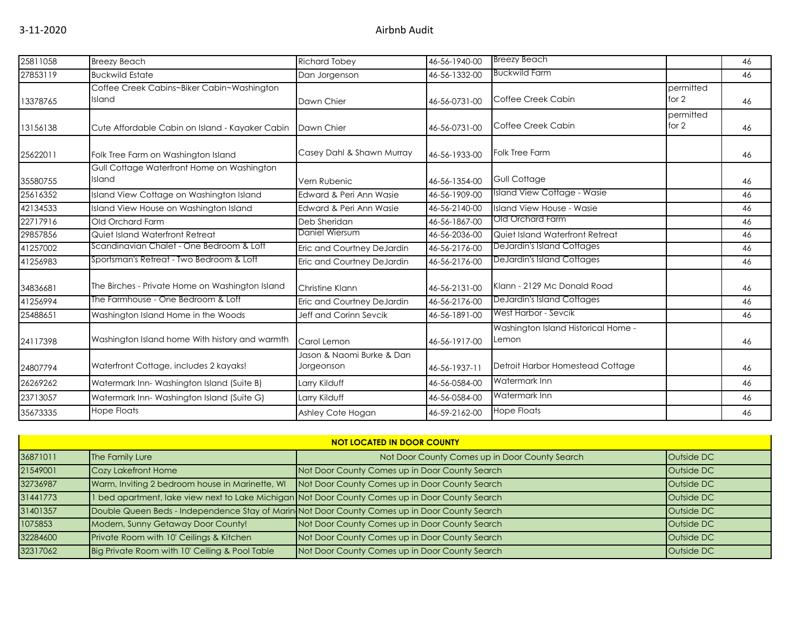| 25811058 | <b>Breezy Beach</b>                                  | <b>Richard Tobey</b>                    | 46-56-1940-00 | <b>Breezy Beach</b>                          |                      | 46 |
|----------|------------------------------------------------------|-----------------------------------------|---------------|----------------------------------------------|----------------------|----|
| 27853119 | <b>Buckwild Estate</b>                               | Dan Jorgenson                           | 46-56-1332-00 | <b>Buckwild Farm</b>                         |                      | 46 |
| 13378765 | Coffee Creek Cabins~Biker Cabin~Washington<br>Island | Dawn Chier                              | 46-56-0731-00 | Coffee Creek Cabin                           | permitted<br>for $2$ | 46 |
| 13156138 | Cute Affordable Cabin on Island - Kayaker Cabin      | Dawn Chier                              | 46-56-0731-00 | Coffee Creek Cabin                           | permitted<br>for $2$ | 46 |
| 25622011 | Folk Tree Farm on Washington Island                  | Casey Dahl & Shawn Murray               | 46-56-1933-00 | Folk Tree Farm                               |                      | 46 |
| 35580755 | Gull Cottage Waterfront Home on Washington<br>Island | Vern Rubenic                            | 46-56-1354-00 | Gull Cottage                                 |                      | 46 |
| 25616352 | Island View Cottage on Washington Island             | Edward & Peri Ann Wasie                 | 46-56-1909-00 | Island View Cottage - Wasie                  |                      | 46 |
| 42134533 | Island View House on Washington Island               | Edward & Peri Ann Wasie                 | 46-56-2140-00 | Island View House - Wasie                    |                      | 46 |
| 22717916 | Old Orchard Farm                                     | Deb Sheridan                            | 46-56-1867-00 | <b>Old Orchard Farm</b>                      |                      | 46 |
| 29857856 | Quiet Island Waterfront Retreat                      | Daniel Wiersum                          | 46-56-2036-00 | Quiet Island Waterfront Retreat              |                      | 46 |
| 41257002 | Scandinavian Chalet - One Bedroom & Loft             | Eric and Courtney DeJardin              | 46-56-2176-00 | DeJardin's Island Cottages                   |                      | 46 |
| 41256983 | Sportsman's Retreat - Two Bedroom & Loft             | Eric and Courtney DeJardin              | 46-56-2176-00 | DeJardin's Island Cottages                   |                      | 46 |
| 34836681 | The Birches - Private Home on Washington Island      | Christine Klann                         | 46-56-2131-00 | Klann - 2129 Mc Donald Road                  |                      | 46 |
| 41256994 | The Farmhouse - One Bedroom & Loft                   | Eric and Courtney DeJardin              | 46-56-2176-00 | DeJardin's Island Cottages                   |                      | 46 |
| 25488651 | Washington Island Home in the Woods                  | Jeff and Corinn Sevcik                  | 46-56-1891-00 | West Harbor - Sevcik                         |                      | 46 |
| 24117398 | Washington Island home With history and warmth       | Carol Lemon                             | 46-56-1917-00 | Washington Island Historical Home -<br>Lemon |                      | 46 |
| 24807794 | Waterfront Cottage, includes 2 kayaks!               | Jason & Naomi Burke & Dan<br>Jorgeonson | 46-56-1937-11 | Detroit Harbor Homestead Cottage             |                      | 46 |
| 26269262 | Watermark Inn-Washington Island (Suite B)            | Larry Kilduff                           | 46-56-0584-00 | Watermark Inn                                |                      | 46 |
| 23713057 | Watermark Inn-Washington Island (Suite G)            | Larry Kilduff                           | 46-56-0584-00 | Watermark Inn                                |                      | 46 |
| 35673335 | Hope Floats                                          | Ashley Cote Hogan                       | 46-59-2162-00 | <b>Hope Floats</b>                           |                      | 46 |

| <b>NOT LOCATED IN DOOR COUNTY</b> |                                                 |                                                                                                 |            |  |
|-----------------------------------|-------------------------------------------------|-------------------------------------------------------------------------------------------------|------------|--|
| 36871011                          | The Family Lure                                 | Not Door County Comes up in Door County Search                                                  | Outside DC |  |
| 21549001                          | Cozy Lakefront Home                             | Not Door County Comes up in Door County Search                                                  | Outside DC |  |
| 32736987                          | Warm, Inviting 2 bedroom house in Marinette, WI | Not Door County Comes up in Door County Search                                                  | Outside DC |  |
| 31441773                          |                                                 | I bed apartment, lake view next to Lake Michigan Not Door County Comes up in Door County Search | Outside DC |  |
| 31401357                          |                                                 | Double Queen Beds - Independence Stay of Marin Not Door County Comes up in Door County Search   | Outside DC |  |
| 1075853                           | Modern, Sunny Getaway Door County!              | Not Door County Comes up in Door County Search                                                  | Outside DC |  |
| 32284600                          | Private Room with 10' Ceilings & Kitchen        | Not Door County Comes up in Door County Search                                                  | Outside DC |  |
| 32317062                          | Big Private Room with 10' Ceiling & Pool Table  | Not Door County Comes up in Door County Search                                                  | Outside DC |  |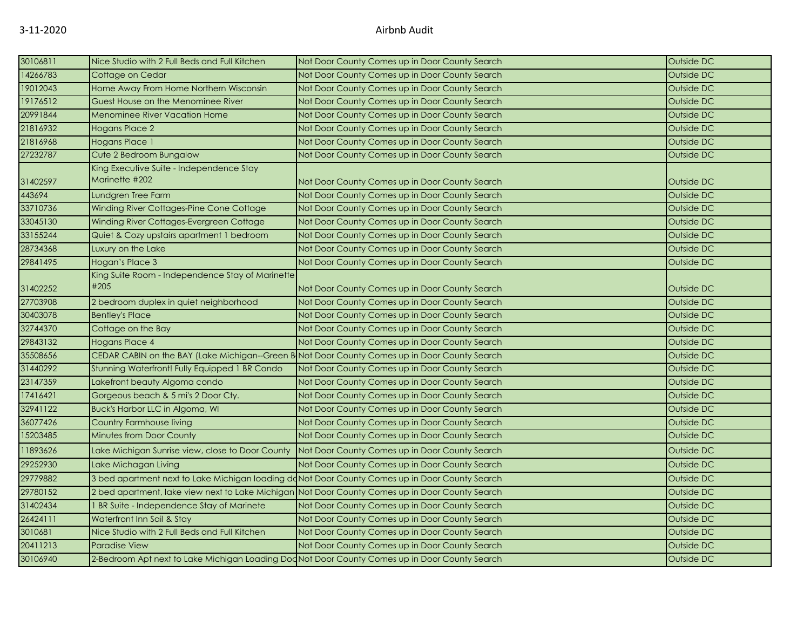| 30106811 | Nice Studio with 2 Full Beds and Full Kitchen                                                   | Not Door County Comes up in Door County Search | Outside DC |
|----------|-------------------------------------------------------------------------------------------------|------------------------------------------------|------------|
| 14266783 | Cottage on Cedar                                                                                | Not Door County Comes up in Door County Search | Outside DC |
| 19012043 | Home Away From Home Northern Wisconsin                                                          | Not Door County Comes up in Door County Search | Outside DC |
| 19176512 | Guest House on the Menominee River                                                              | Not Door County Comes up in Door County Search | Outside DC |
| 20991844 | <b>Menominee River Vacation Home</b>                                                            | Not Door County Comes up in Door County Search | Outside DC |
| 21816932 | <b>Hogans Place 2</b>                                                                           | Not Door County Comes up in Door County Search | Outside DC |
| 21816968 | <b>Hogans Place 1</b>                                                                           | Not Door County Comes up in Door County Search | Outside DC |
| 27232787 | Cute 2 Bedroom Bungalow                                                                         | Not Door County Comes up in Door County Search | Outside DC |
| 31402597 | King Executive Suite - Independence Stay<br>Marinette #202                                      | Not Door County Comes up in Door County Search | Outside DC |
| 443694   | Lundgren Tree Farm                                                                              | Not Door County Comes up in Door County Search | Outside DC |
| 33710736 | Winding River Cottages-Pine Cone Cottage                                                        | Not Door County Comes up in Door County Search | Outside DC |
| 33045130 | Winding River Cottages-Evergreen Cottage                                                        | Not Door County Comes up in Door County Search | Outside DC |
| 33155244 | Quiet & Cozy upstairs apartment 1 bedroom                                                       | Not Door County Comes up in Door County Search | Outside DC |
| 28734368 | Luxury on the Lake                                                                              | Not Door County Comes up in Door County Search | Outside DC |
| 29841495 | Hogan's Place 3                                                                                 | Not Door County Comes up in Door County Search | Outside DC |
| 31402252 | King Suite Room - Independence Stay of Marinette<br>#205                                        | Not Door County Comes up in Door County Search | Outside DC |
| 27703908 | 2 bedroom duplex in quiet neighborhood                                                          | Not Door County Comes up in Door County Search | Outside DC |
| 30403078 | <b>Bentley's Place</b>                                                                          | Not Door County Comes up in Door County Search | Outside DC |
| 32744370 | Cottage on the Bay                                                                              | Not Door County Comes up in Door County Search | Outside DC |
| 29843132 | <b>Hogans Place 4</b>                                                                           | Not Door County Comes up in Door County Search | Outside DC |
| 35508656 | CEDAR CABIN on the BAY (Lake Michigan--Green B Not Door County Comes up in Door County Search   |                                                | Outside DC |
| 31440292 | Stunning Waterfront! Fully Equipped 1 BR Condo                                                  | Not Door County Comes up in Door County Search | Outside DC |
| 23147359 | Lakefront beauty Algoma condo                                                                   | Not Door County Comes up in Door County Search | Outside DC |
| 17416421 | Gorgeous beach & 5 mi's 2 Door Cty.                                                             | Not Door County Comes up in Door County Search | Outside DC |
| 32941122 | Buck's Harbor LLC in Algoma, WI                                                                 | Not Door County Comes up in Door County Search | Outside DC |
| 36077426 | Country Farmhouse living                                                                        | Not Door County Comes up in Door County Search | Outside DC |
| 15203485 | <b>Minutes from Door County</b>                                                                 | Not Door County Comes up in Door County Search | Outside DC |
| 11893626 | Lake Michigan Sunrise view, close to Door County                                                | Not Door County Comes up in Door County Search | Outside DC |
| 29252930 | Lake Michagan Living                                                                            | Not Door County Comes up in Door County Search | Outside DC |
| 29779882 | 3 bed apartment next to Lake Michigan loading doNot Door County Comes up in Door County Search  |                                                | Outside DC |
| 29780152 | 2 bed apartment, lake view next to Lake Michigan Not Door County Comes up in Door County Search |                                                | Outside DC |
| 31402434 | I BR Suite - Independence Stay of Marinete                                                      | Not Door County Comes up in Door County Search | Outside DC |
| 26424111 | Waterfront Inn Sail & Stay                                                                      | Not Door County Comes up in Door County Search | Outside DC |
| 3010681  | Nice Studio with 2 Full Beds and Full Kitchen                                                   | Not Door County Comes up in Door County Search | Outside DC |
| 20411213 | <b>Paradise View</b>                                                                            | Not Door County Comes up in Door County Search | Outside DC |
| 30106940 | 2-Bedroom Apt next to Lake Michigan Loading Dod Not Door County Comes up in Door County Search  |                                                | Outside DC |